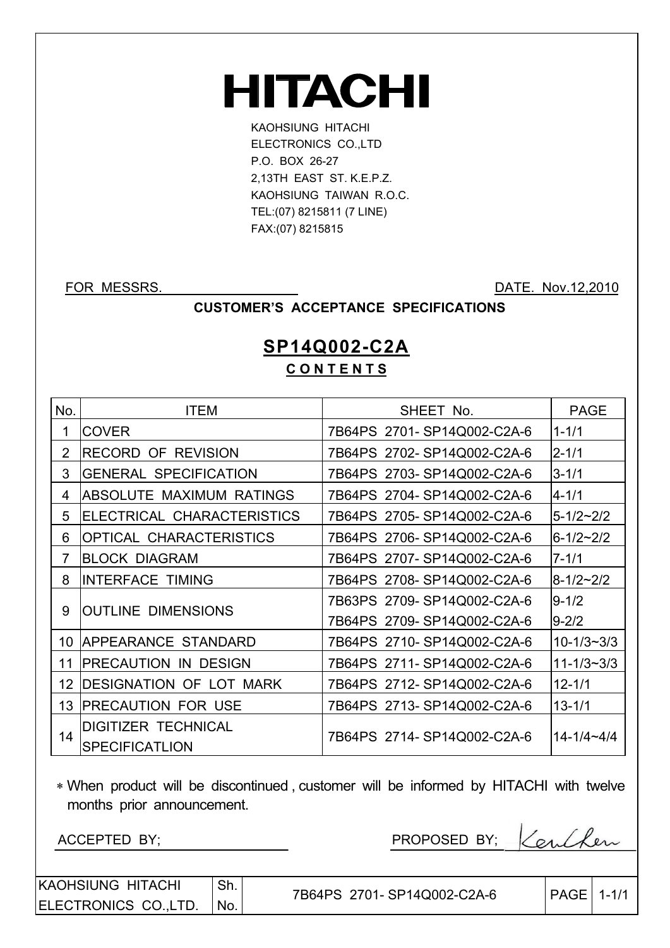# **HITACHI**

KAOHSIUNG HITACHI ELECTRONICS CO.,LTD P.O. BOX 26-27 2,13TH EAST ST. K.E.P.Z. KAOHSIUNG TAIWAN R.O.C. TEL:(07) 8215811 (7 LINE) FAX:(07) 8215815

 $\overline{\phantom{a}}$ 

FOR MESSRS. DATE. Nov. 12,2010

#### **CUSTOMER'S ACCEPTANCE SPECIFICATIONS**

## **SP14Q002-C2A C O N T E N T S**

| No.            | <b>ITEM</b>                     | SHEET No.                  | <b>PAGE</b>        |
|----------------|---------------------------------|----------------------------|--------------------|
| 1              | <b>COVER</b>                    | 7B64PS 2701-SP14Q002-C2A-6 | $1 - 1/1$          |
| $\overline{2}$ | <b>RECORD OF REVISION</b>       | 7B64PS 2702-SP14Q002-C2A-6 | $2 - 1/1$          |
| 3              | <b>GENERAL SPECIFICATION</b>    | 7B64PS 2703-SP14Q002-C2A-6 | $3 - 1/1$          |
| 4              | <b>ABSOLUTE MAXIMUM RATINGS</b> | 7B64PS 2704-SP14Q002-C2A-6 | $4 - 1/1$          |
| 5              | ELECTRICAL CHARACTERISTICS      | 7B64PS 2705-SP14Q002-C2A-6 | $5 - 1/2 \sim 2/2$ |
| 6              | <b>OPTICAL CHARACTERISTICS</b>  | 7B64PS 2706-SP14Q002-C2A-6 | $6 - 1/2 - 2/2$    |
| $\overline{7}$ | <b>BLOCK DIAGRAM</b>            | 7B64PS 2707-SP14Q002-C2A-6 | $7 - 1/1$          |
| 8              | <b>INTERFACE TIMING</b>         | 7B64PS 2708-SP14Q002-C2A-6 | $8-1/2 \sim 2/2$   |
|                |                                 | 7B63PS 2709-SP14Q002-C2A-6 | $9 - 1/2$          |
| 9              | <b>OUTLINE DIMENSIONS</b>       | 7B64PS 2709-SP14Q002-C2A-6 | $9 - 2/2$          |
| 10             | APPEARANCE STANDARD             | 7B64PS 2710-SP14Q002-C2A-6 | $10 - 1/3 - 3/3$   |
| 11             | <b>PRECAUTION IN DESIGN</b>     | 7B64PS 2711-SP14Q002-C2A-6 | $11 - 1/3 - 3/3$   |
| 12             | <b>DESIGNATION OF LOT MARK</b>  | 7B64PS 2712-SP14Q002-C2A-6 | $12 - 1/1$         |
| 13             | <b>PRECAUTION FOR USE</b>       | 7B64PS 2713-SP14Q002-C2A-6 | $13 - 1/1$         |
|                | <b>DIGITIZER TECHNICAL</b>      |                            |                    |
| 14             | <b>SPECIFICATLION</b>           | 7B64PS 2714-SP14Q002-C2A-6 | $14 - 1/4 - 4/4$   |

 When product will be discontinued , customer will be informed by HITACHI with twelve months prior announcement.

ACCEPTED BY;

| PROPOSED BY: | Carlpen |
|--------------|---------|
|              |         |

KAOHSIUNG HITACHI ELECTRONICS CO.,LTD. Sh. No.

| $ PAGE  1-1/1$<br>7B64PS 2701-SP14Q002-C2A-6 |
|----------------------------------------------|
|----------------------------------------------|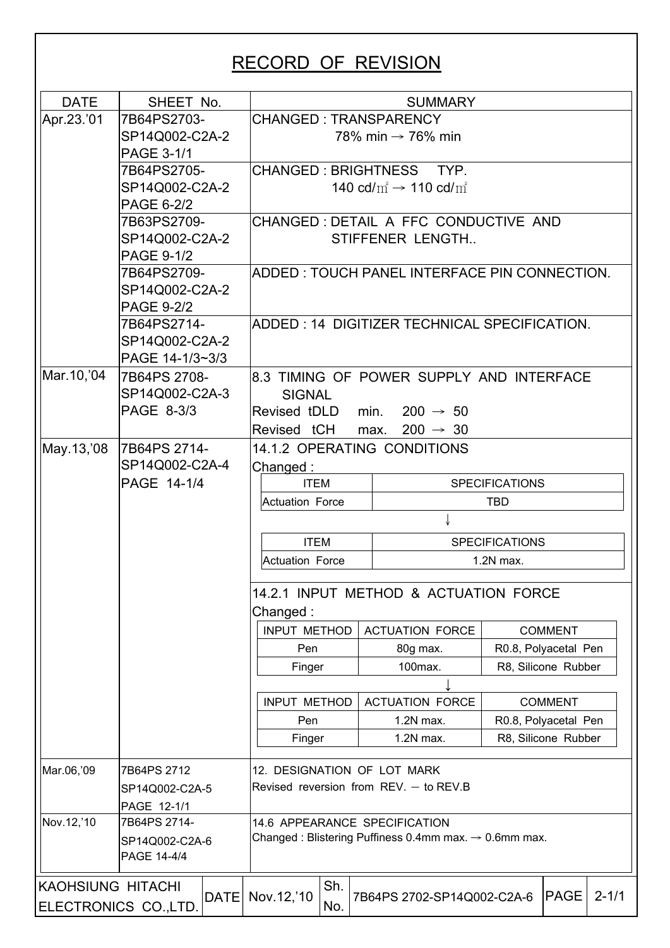# **RECORD OF REVISION**

| Apr.23.'01<br><b>CHANGED: TRANSPARENCY</b><br>7B64PS2703-<br>SP14Q002-C2A-2<br>78% min $\rightarrow$ 76% min<br><b>PAGE 3-1/1</b><br>7B64PS2705-<br>CHANGED: BRIGHTNESS TYP.<br>SP14Q002-C2A-2<br>140 cd/ $m^2 \rightarrow 110$ cd/ $m^2$<br><b>PAGE 6-2/2</b><br>CHANGED: DETAIL A FFC CONDUCTIVE AND<br>7B63PS2709-<br>SP14Q002-C2A-2<br>STIFFENER LENGTH<br><b>PAGE 9-1/2</b><br>7B64PS2709-<br>IADDED : TOUCH PANEL INTERFACE PIN CONNECTION.<br>SP14Q002-C2A-2<br><b>PAGE 9-2/2</b><br>ADDED: 14 DIGITIZER TECHNICAL SPECIFICATION.<br>7B64PS2714-<br>SP14Q002-C2A-2<br>PAGE 14-1/3~3/3<br>Mar.10,'04<br>7B64PS 2708-<br>8.3 TIMING OF POWER SUPPLY AND INTERFACE<br>SP14Q002-C2A-3<br><b>SIGNAL</b><br><b>PAGE 8-3/3</b><br>Revised tDLD min. $200 \rightarrow 50$<br>Revised tCH max.<br>$200 \rightarrow 30$<br>May.13, '08<br>7B64PS 2714-<br>14.1.2 OPERATING CONDITIONS<br>SP14Q002-C2A-4<br>Changed:<br>PAGE 14-1/4<br><b>ITEM</b><br><b>SPECIFICATIONS</b><br><b>Actuation Force</b><br>TBD.<br><b>ITEM</b><br><b>SPECIFICATIONS</b><br>Actuation Force<br>$1.2N$ max.<br>14.2.1 INPUT METHOD & ACTUATION FORCE<br>Changed:<br><b>INPUT METHOD</b><br><b>ACTUATION FORCE</b><br><b>COMMENT</b><br>R0.8, Polyacetal Pen<br>Pen<br>80g max.<br>100max.<br>R8, Silicone Rubber<br>Finger<br>INPUT METHOD<br><b>ACTUATION FORCE</b><br><b>COMMENT</b> |  |
|----------------------------------------------------------------------------------------------------------------------------------------------------------------------------------------------------------------------------------------------------------------------------------------------------------------------------------------------------------------------------------------------------------------------------------------------------------------------------------------------------------------------------------------------------------------------------------------------------------------------------------------------------------------------------------------------------------------------------------------------------------------------------------------------------------------------------------------------------------------------------------------------------------------------------------------------------------------------------------------------------------------------------------------------------------------------------------------------------------------------------------------------------------------------------------------------------------------------------------------------------------------------------------------------------------------------------------------------------------------|--|
|                                                                                                                                                                                                                                                                                                                                                                                                                                                                                                                                                                                                                                                                                                                                                                                                                                                                                                                                                                                                                                                                                                                                                                                                                                                                                                                                                                |  |
|                                                                                                                                                                                                                                                                                                                                                                                                                                                                                                                                                                                                                                                                                                                                                                                                                                                                                                                                                                                                                                                                                                                                                                                                                                                                                                                                                                |  |
|                                                                                                                                                                                                                                                                                                                                                                                                                                                                                                                                                                                                                                                                                                                                                                                                                                                                                                                                                                                                                                                                                                                                                                                                                                                                                                                                                                |  |
|                                                                                                                                                                                                                                                                                                                                                                                                                                                                                                                                                                                                                                                                                                                                                                                                                                                                                                                                                                                                                                                                                                                                                                                                                                                                                                                                                                |  |
|                                                                                                                                                                                                                                                                                                                                                                                                                                                                                                                                                                                                                                                                                                                                                                                                                                                                                                                                                                                                                                                                                                                                                                                                                                                                                                                                                                |  |
|                                                                                                                                                                                                                                                                                                                                                                                                                                                                                                                                                                                                                                                                                                                                                                                                                                                                                                                                                                                                                                                                                                                                                                                                                                                                                                                                                                |  |
|                                                                                                                                                                                                                                                                                                                                                                                                                                                                                                                                                                                                                                                                                                                                                                                                                                                                                                                                                                                                                                                                                                                                                                                                                                                                                                                                                                |  |
|                                                                                                                                                                                                                                                                                                                                                                                                                                                                                                                                                                                                                                                                                                                                                                                                                                                                                                                                                                                                                                                                                                                                                                                                                                                                                                                                                                |  |
|                                                                                                                                                                                                                                                                                                                                                                                                                                                                                                                                                                                                                                                                                                                                                                                                                                                                                                                                                                                                                                                                                                                                                                                                                                                                                                                                                                |  |
|                                                                                                                                                                                                                                                                                                                                                                                                                                                                                                                                                                                                                                                                                                                                                                                                                                                                                                                                                                                                                                                                                                                                                                                                                                                                                                                                                                |  |
|                                                                                                                                                                                                                                                                                                                                                                                                                                                                                                                                                                                                                                                                                                                                                                                                                                                                                                                                                                                                                                                                                                                                                                                                                                                                                                                                                                |  |
|                                                                                                                                                                                                                                                                                                                                                                                                                                                                                                                                                                                                                                                                                                                                                                                                                                                                                                                                                                                                                                                                                                                                                                                                                                                                                                                                                                |  |
|                                                                                                                                                                                                                                                                                                                                                                                                                                                                                                                                                                                                                                                                                                                                                                                                                                                                                                                                                                                                                                                                                                                                                                                                                                                                                                                                                                |  |
|                                                                                                                                                                                                                                                                                                                                                                                                                                                                                                                                                                                                                                                                                                                                                                                                                                                                                                                                                                                                                                                                                                                                                                                                                                                                                                                                                                |  |
|                                                                                                                                                                                                                                                                                                                                                                                                                                                                                                                                                                                                                                                                                                                                                                                                                                                                                                                                                                                                                                                                                                                                                                                                                                                                                                                                                                |  |
|                                                                                                                                                                                                                                                                                                                                                                                                                                                                                                                                                                                                                                                                                                                                                                                                                                                                                                                                                                                                                                                                                                                                                                                                                                                                                                                                                                |  |
|                                                                                                                                                                                                                                                                                                                                                                                                                                                                                                                                                                                                                                                                                                                                                                                                                                                                                                                                                                                                                                                                                                                                                                                                                                                                                                                                                                |  |
|                                                                                                                                                                                                                                                                                                                                                                                                                                                                                                                                                                                                                                                                                                                                                                                                                                                                                                                                                                                                                                                                                                                                                                                                                                                                                                                                                                |  |
|                                                                                                                                                                                                                                                                                                                                                                                                                                                                                                                                                                                                                                                                                                                                                                                                                                                                                                                                                                                                                                                                                                                                                                                                                                                                                                                                                                |  |
|                                                                                                                                                                                                                                                                                                                                                                                                                                                                                                                                                                                                                                                                                                                                                                                                                                                                                                                                                                                                                                                                                                                                                                                                                                                                                                                                                                |  |
|                                                                                                                                                                                                                                                                                                                                                                                                                                                                                                                                                                                                                                                                                                                                                                                                                                                                                                                                                                                                                                                                                                                                                                                                                                                                                                                                                                |  |
|                                                                                                                                                                                                                                                                                                                                                                                                                                                                                                                                                                                                                                                                                                                                                                                                                                                                                                                                                                                                                                                                                                                                                                                                                                                                                                                                                                |  |
|                                                                                                                                                                                                                                                                                                                                                                                                                                                                                                                                                                                                                                                                                                                                                                                                                                                                                                                                                                                                                                                                                                                                                                                                                                                                                                                                                                |  |
|                                                                                                                                                                                                                                                                                                                                                                                                                                                                                                                                                                                                                                                                                                                                                                                                                                                                                                                                                                                                                                                                                                                                                                                                                                                                                                                                                                |  |
|                                                                                                                                                                                                                                                                                                                                                                                                                                                                                                                                                                                                                                                                                                                                                                                                                                                                                                                                                                                                                                                                                                                                                                                                                                                                                                                                                                |  |
|                                                                                                                                                                                                                                                                                                                                                                                                                                                                                                                                                                                                                                                                                                                                                                                                                                                                                                                                                                                                                                                                                                                                                                                                                                                                                                                                                                |  |
|                                                                                                                                                                                                                                                                                                                                                                                                                                                                                                                                                                                                                                                                                                                                                                                                                                                                                                                                                                                                                                                                                                                                                                                                                                                                                                                                                                |  |
|                                                                                                                                                                                                                                                                                                                                                                                                                                                                                                                                                                                                                                                                                                                                                                                                                                                                                                                                                                                                                                                                                                                                                                                                                                                                                                                                                                |  |
|                                                                                                                                                                                                                                                                                                                                                                                                                                                                                                                                                                                                                                                                                                                                                                                                                                                                                                                                                                                                                                                                                                                                                                                                                                                                                                                                                                |  |
|                                                                                                                                                                                                                                                                                                                                                                                                                                                                                                                                                                                                                                                                                                                                                                                                                                                                                                                                                                                                                                                                                                                                                                                                                                                                                                                                                                |  |
|                                                                                                                                                                                                                                                                                                                                                                                                                                                                                                                                                                                                                                                                                                                                                                                                                                                                                                                                                                                                                                                                                                                                                                                                                                                                                                                                                                |  |
|                                                                                                                                                                                                                                                                                                                                                                                                                                                                                                                                                                                                                                                                                                                                                                                                                                                                                                                                                                                                                                                                                                                                                                                                                                                                                                                                                                |  |
| Pen<br>$1.2N$ max.<br>R0.8, Polyacetal Pen                                                                                                                                                                                                                                                                                                                                                                                                                                                                                                                                                                                                                                                                                                                                                                                                                                                                                                                                                                                                                                                                                                                                                                                                                                                                                                                     |  |
| R8, Silicone Rubber<br>Finger<br>1.2N max.                                                                                                                                                                                                                                                                                                                                                                                                                                                                                                                                                                                                                                                                                                                                                                                                                                                                                                                                                                                                                                                                                                                                                                                                                                                                                                                     |  |
|                                                                                                                                                                                                                                                                                                                                                                                                                                                                                                                                                                                                                                                                                                                                                                                                                                                                                                                                                                                                                                                                                                                                                                                                                                                                                                                                                                |  |
| Mar.06,'09<br>12. DESIGNATION OF LOT MARK<br>7B64PS 2712                                                                                                                                                                                                                                                                                                                                                                                                                                                                                                                                                                                                                                                                                                                                                                                                                                                                                                                                                                                                                                                                                                                                                                                                                                                                                                       |  |
| Revised reversion from $REV -$ to $REV.B$<br>SP14Q002-C2A-5                                                                                                                                                                                                                                                                                                                                                                                                                                                                                                                                                                                                                                                                                                                                                                                                                                                                                                                                                                                                                                                                                                                                                                                                                                                                                                    |  |
| PAGE 12-1/1                                                                                                                                                                                                                                                                                                                                                                                                                                                                                                                                                                                                                                                                                                                                                                                                                                                                                                                                                                                                                                                                                                                                                                                                                                                                                                                                                    |  |
| Nov.12,'10<br>7B64PS 2714-<br>14.6 APPEARANCE SPECIFICATION                                                                                                                                                                                                                                                                                                                                                                                                                                                                                                                                                                                                                                                                                                                                                                                                                                                                                                                                                                                                                                                                                                                                                                                                                                                                                                    |  |
| Changed: Blistering Puffiness 0.4mm max. $\rightarrow$ 0.6mm max.<br>SP14Q002-C2A-6                                                                                                                                                                                                                                                                                                                                                                                                                                                                                                                                                                                                                                                                                                                                                                                                                                                                                                                                                                                                                                                                                                                                                                                                                                                                            |  |
| PAGE 14-4/4                                                                                                                                                                                                                                                                                                                                                                                                                                                                                                                                                                                                                                                                                                                                                                                                                                                                                                                                                                                                                                                                                                                                                                                                                                                                                                                                                    |  |
| Sh.<br><b>KAOHSIUNG HITACHI</b>                                                                                                                                                                                                                                                                                                                                                                                                                                                                                                                                                                                                                                                                                                                                                                                                                                                                                                                                                                                                                                                                                                                                                                                                                                                                                                                                |  |
| Nov. 12,'10<br>$\mathsf{PAGE}$<br>DATE<br>7B64PS 2702-SP14Q002-C2A-6<br>ELECTRONICS CO., LTD.<br>No.                                                                                                                                                                                                                                                                                                                                                                                                                                                                                                                                                                                                                                                                                                                                                                                                                                                                                                                                                                                                                                                                                                                                                                                                                                                           |  |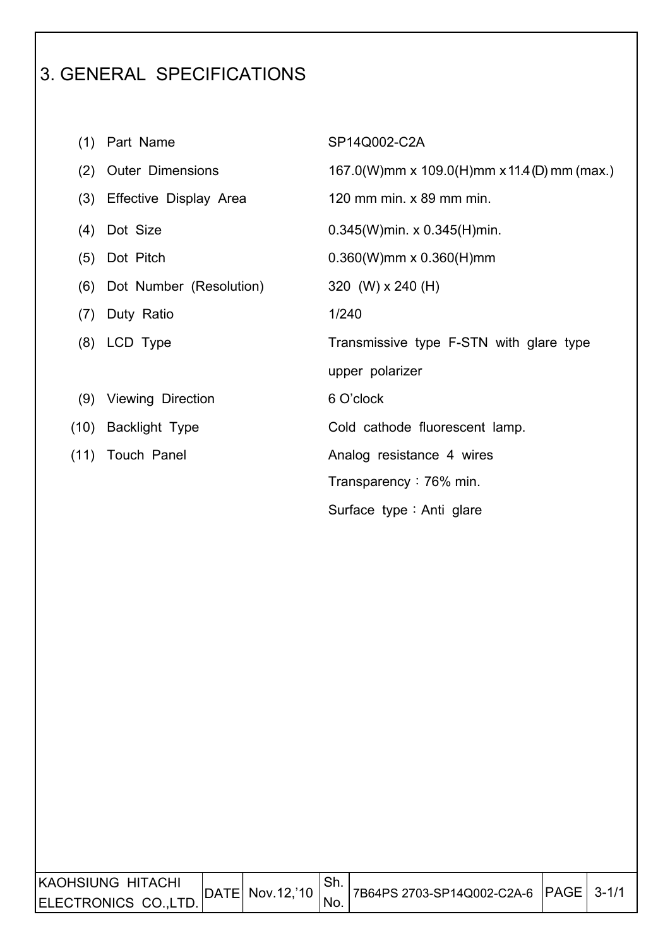# 3. GENERAL SPECIFICATIONS

 $\overline{\phantom{a}}$ 

| (1)  | Part Name               | SP14Q002-C2A                                |
|------|-------------------------|---------------------------------------------|
| (2)  | <b>Outer Dimensions</b> | 167.0(W)mm x 109.0(H)mm x 11.4(D) mm (max.) |
| (3)  | Effective Display Area  | 120 mm min. x 89 mm min.                    |
| (4)  | Dot Size                | $0.345(W)$ min. x $0.345(H)$ min.           |
| (5)  | Dot Pitch               | $0.360(W)$ mm x $0.360(H)$ mm               |
| (6)  | Dot Number (Resolution) | 320 (W) x 240 (H)                           |
| (7)  | Duty Ratio              | 1/240                                       |
|      | (8) LCD Type            | Transmissive type F-STN with glare type     |
|      |                         | upper polarizer                             |
|      | (9) Viewing Direction   | 6 O'clock                                   |
| (10) | <b>Backlight Type</b>   | Cold cathode fluorescent lamp.              |
|      | (11) Touch Panel        | Analog resistance 4 wires                   |
|      |                         | Transparency $: 76\%$ min.                  |
|      |                         | Surface type : Anti glare                   |

| KAOHSIUNG HITACHI   |  | DATE  Nov.12,'10   7B64PS 2703-SP14Q002-C2A-6   PAGE   3-1/1 |  |
|---------------------|--|--------------------------------------------------------------|--|
| ELECTRONICS CO.LTD. |  |                                                              |  |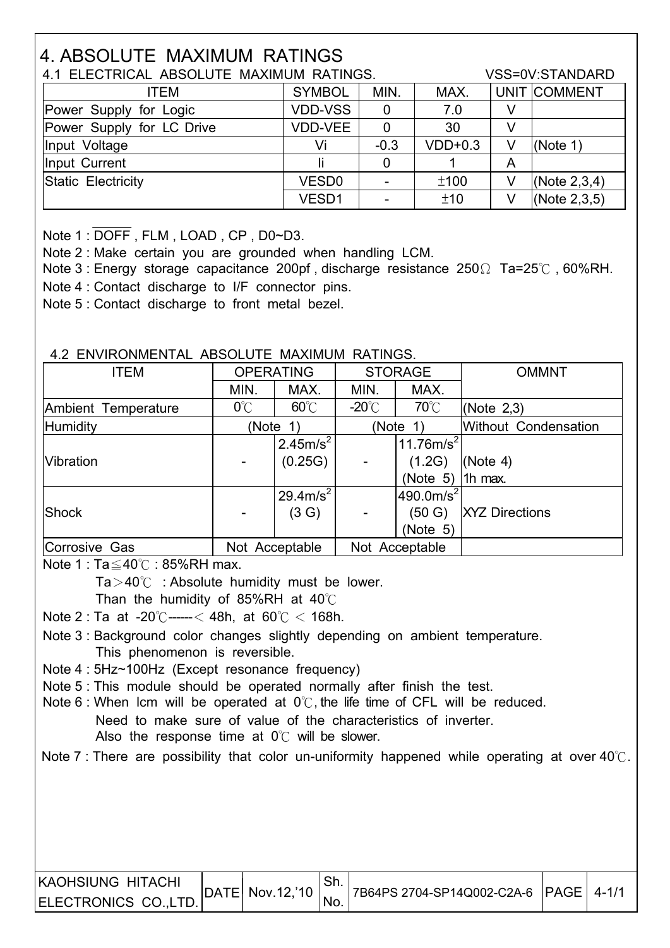# **4. ABSOLUTE MAXIMUM RATINGS**

| 4.1 ELECTRICAL ABSOLUTE MAXIMUM RATINGS. |                   |        |           |   | VSS=0V:STANDARD |
|------------------------------------------|-------------------|--------|-----------|---|-----------------|
| <b>ITEM</b>                              | <b>SYMBOL</b>     | MIN.   | MAX.      |   | UNIT COMMENT    |
| Power Supply for Logic                   | <b>VDD-VSS</b>    | 0      | 7.0       |   |                 |
| Power Supply for LC Drive                | VDD-VEE           | 0      | 30        |   |                 |
| Input Voltage                            | Vi                | $-0.3$ | $VDD+0.3$ | V | (Note 1)        |
| Input Current                            |                   | 0      |           | A |                 |
| Static Electricity                       | VESD <sub>0</sub> |        | ±100      | V | (Note $2,3,4$ ) |
|                                          | VESD1             |        | ±10       | V | (Note $2,3,5$ ) |

Note 1: DOFF, FLM, LOAD, CP, D0~D3.

Note 2: Make certain you are grounded when handling LCM.

Note 3: Energy storage capacitance 200pf, discharge resistance  $250\Omega$  Ta=25°C, 60%RH. Note 4 : Contact discharge to I/F connector pins.

Note 5 : Contact discharge to front metal bezel.

#### 4.2 ENVIRONMENTAL ABSOLUTE MAXIMUM RATINGS.

| <b>ITEM</b>         |               | <b>OPERATING</b><br><b>STORAGE</b> |                 | <b>OMMNT</b>       |                       |
|---------------------|---------------|------------------------------------|-----------------|--------------------|-----------------------|
|                     | MIN.          | MAX.                               | MIN.            | MAX.               |                       |
| Ambient Temperature | $0^{\circ}$ C | $60^{\circ}$ C                     | $-20^{\circ}$ C | $70^{\circ}$ C     | (Note $2,3$ )         |
| Humidity            | (Note         | $\left(1\right)$                   |                 | (Note 1)           | Without Condensation  |
|                     |               | $12.45m/s^2$                       |                 | $ 11.76m/s^2 $     |                       |
| Vibration           |               | (0.25G)                            |                 | (1.2G)             | (Note 4)              |
|                     |               |                                    |                 | (Note 5)   1h max. |                       |
|                     |               | $29.4 \text{m/s}^2$                |                 | $ 490.0m/s^2 $     |                       |
| <b>Shock</b>        |               | (3 G)                              |                 | (50 G)             | <b>XYZ Directions</b> |
|                     |               |                                    |                 | (Note 5)           |                       |
| Corrosive Gas       |               | Not Acceptable                     |                 | Not Acceptable     |                       |

Note  $1: Ta \leq 40^{\circ}$  : 85%RH max.

 $Ta > 40^{\circ}$  : Absolute humidity must be lower.

Than the humidity of 85%RH at  $40^{\circ}$ C

Note 2 : Ta at -20°C ----- < 48h, at 60°C < 168h.

Note 3 : Background color changes slightly depending on ambient temperature. This phenomenon is reversible.

Note 4: 5Hz~100Hz (Except resonance frequency)

Note 5 : This module should be operated normally after finish the test.

Note 6 : When Icm will be operated at  $0^{\circ}$ , the life time of CFL will be reduced. Need to make sure of value of the characteristics of inverter.

Also the response time at  $0^{\circ}$  will be slower.

Note 7 : There are possibility that color un-uniformity happened while operating at over  $40^{\circ}$ .

| <b>KAOHSIUNG HITACHI</b> |                               |      |                                       |  |
|--------------------------|-------------------------------|------|---------------------------------------|--|
| ELECTRONICS CO.,LTD.     | $ $ DATE $ $ Nov.12, 10 $ $ . | 'NO. | 7B64PS 2704-SP14Q002-C2A-6 PAGE 4-1/1 |  |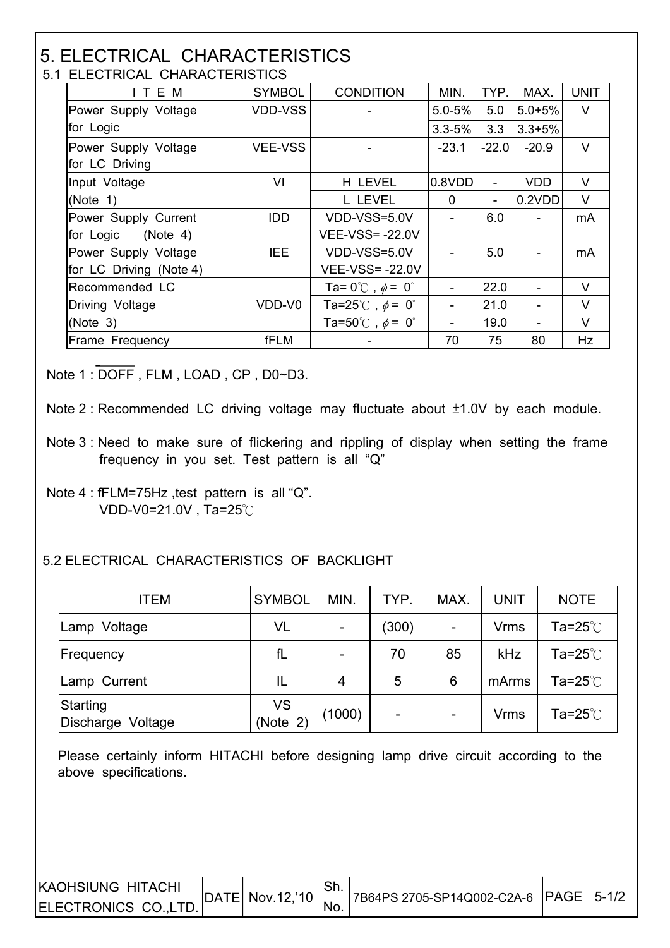#### 5. ELECTRICAL CHARACTERISTICS 5.1 ELECTRICAL CHARACTERISTICS

| T LLLUTNUAL UTANAUTLINOTIUS |                |                                                |            |         |            |             |  |  |
|-----------------------------|----------------|------------------------------------------------|------------|---------|------------|-------------|--|--|
| ITEM                        | <b>SYMBOL</b>  | <b>CONDITION</b>                               | MIN.       | TYP.    | MAX.       | <b>UNIT</b> |  |  |
| Power Supply Voltage        | <b>VDD-VSS</b> |                                                | $5.0 - 5%$ | 5.0     | $5.0 + 5%$ | $\vee$      |  |  |
| for Logic                   |                |                                                | $3.3 - 5%$ | 3.3     | $3.3 + 5%$ |             |  |  |
| Power Supply Voltage        | <b>VEE-VSS</b> |                                                | $-23.1$    | $-22.0$ | $-20.9$    | $\vee$      |  |  |
| for LC Driving              |                |                                                |            |         |            |             |  |  |
| Input Voltage               | VI             | H LEVEL                                        | 0.8VDD     |         | <b>VDD</b> | V           |  |  |
| (Note $1$ )                 |                | L LEVEL                                        | 0          |         | 0.2VDD     | V           |  |  |
| Power Supply Current        | <b>IDD</b>     | VDD-VSS=5.0V                                   |            | 6.0     |            | mA          |  |  |
| for Logic (Note 4)          |                | <b>VEE-VSS=-22.0V</b>                          |            |         |            |             |  |  |
| Power Supply Voltage        | IEE.           | VDD-VSS=5.0V                                   |            | 5.0     |            | mA          |  |  |
| for LC Driving (Note 4)     |                | <b>VEE-VSS=-22.0V</b>                          |            |         |            |             |  |  |
| Recommended LC              |                | Ta= $0^{\circ}$ $\circ$ , $\phi$ = $0^{\circ}$ |            | 22.0    |            | V           |  |  |
| Driving Voltage             | VDD-V0         | Ta=25°C, $\phi$ = 0°                           |            | 21.0    |            | $\vee$      |  |  |
| (Note 3)                    |                | Ta=50°C, $\phi = 0$ °                          |            | 19.0    |            | V           |  |  |
| Frame Frequency             | fFLM           |                                                | 70         | 75      | 80         | Hz          |  |  |

Note 1 : DOFF, FLM, LOAD, CP, D0~D3.

- Note 2 : Recommended LC driving voltage may fluctuate about  $±1.0V$  by each module.
- Note 3 : Need to make sure of flickering and rippling of display when setting the frame frequency in you set. Test pattern is all "Q"
- Note 4 : fFLM=75Hz, test pattern is all "Q". VDD-V0=21.0V, Ta=25 $\degree$ C

 $\overline{\phantom{a}}$ 

 $\overline{\phantom{a}}$ 

#### 5.2 ELECTRICAL CHARACTERISTICS OF BACKLIGHT

| <b>ITEM</b>                      | <b>SYMBOL</b>         | MIN.   | TYP.                     | MAX.                     | <b>UNIT</b> | <b>NOTE</b> |
|----------------------------------|-----------------------|--------|--------------------------|--------------------------|-------------|-------------|
| Lamp Voltage                     | VL                    |        | (300)                    | $\overline{\phantom{a}}$ | <b>Vrms</b> | Ta=25 $°C$  |
| Frequency                        | fL                    |        | 70                       | 85                       | kHz         | Ta=25 $°C$  |
| Lamp Current                     | IL                    | 4      | 5                        | 6                        | mArms       | Ta=25 $°C$  |
| Starting<br>Discharge<br>Voltage | <b>VS</b><br>(Note 2) | (1000) | $\overline{\phantom{0}}$ | $\blacksquare$           | <b>Vrms</b> | Ta=25 $°C$  |

 Please certainly inform HITACHI before designing lamp drive circuit according to the above specifications.

| <b>IKAOHSIUNG HITACHI</b> |  | DATE  Nov.12,'10   7   7B64PS 2705-SP14Q002-C2A-6   PAGE   5-1/2 |  |
|---------------------------|--|------------------------------------------------------------------|--|
| ELECTRONICS CO.,LTD.      |  |                                                                  |  |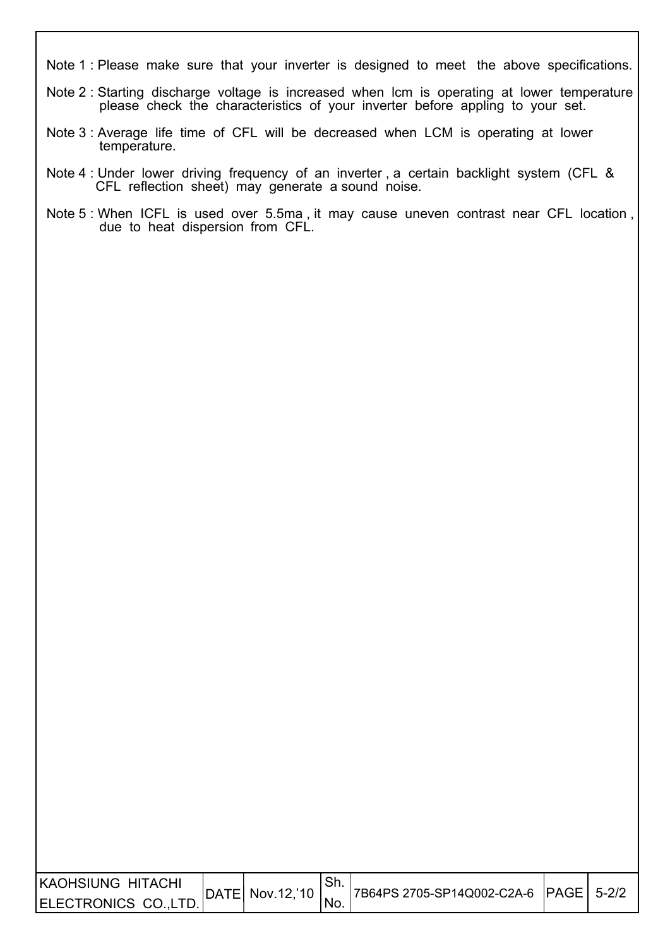- Note 1 : Please make sure that your inverter is designed to meet the above specifications.
- Note 2 : Starting discharge voltage is increased when lcm is operating at lower temperature please check the characteristics of your inverter before appling to your set.
- Note 3 : Average life time of CFL will be decreased when LCM is operating at lower temperature.

I

I

- Note 4 : Under lower driving frequency of an inverter , a certain backlight system (CFL & CFL reflection sheet) may generate a sound noise.
- Note 5 : When ICFL is used over 5.5ma , it may cause uneven contrast near CFL location , due to heat dispersion from CFL.

| IKAOHSIUNG HITACHI   | DATE  Nov.12,'10 |      | 17B64PS 2705-SP14Q002-C2A-6  PAGE   5-2/2 |  |
|----------------------|------------------|------|-------------------------------------------|--|
| ELECTRONICS CO.,LTD. |                  | 'No. |                                           |  |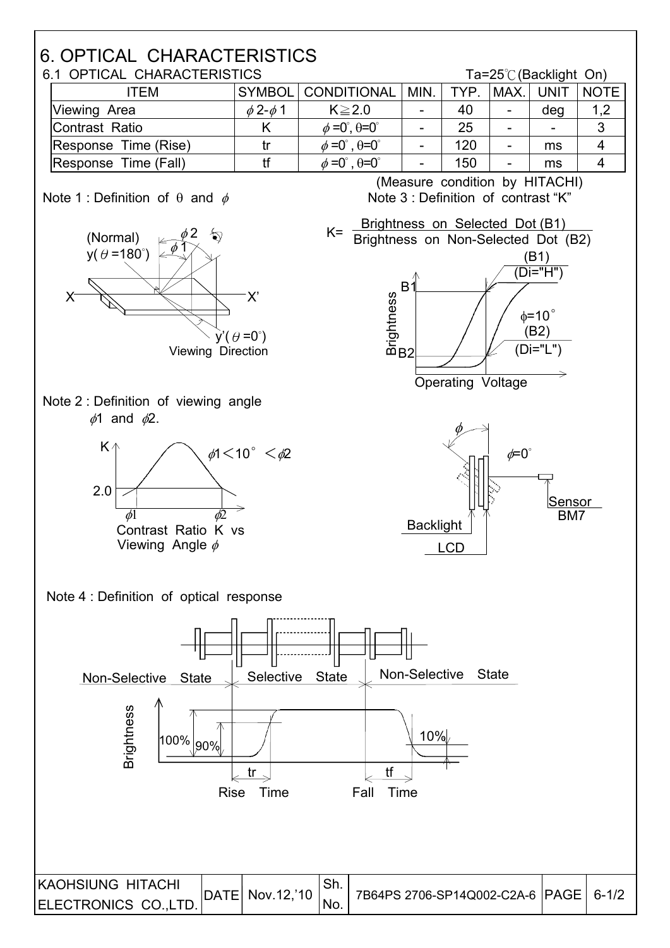

| 6.1 OPTICAL CHARACTERISTICS |                    |                                           |      |      |        | Ta=25 $\degree$ C (Backlight On) |             |
|-----------------------------|--------------------|-------------------------------------------|------|------|--------|----------------------------------|-------------|
| ITFM                        |                    | SYMBOL CONDITIONAL                        | MIN. | TYP. | IMAX.I | <b>UNIT</b>                      | <b>NOTE</b> |
| Viewing Area                | $\phi$ 2- $\phi$ 1 | $K \geq 2.0$                              |      | 40   |        | deg                              | 1,2         |
| Contrast Ratio              |                    | $\phi = 0^\circ, \theta = 0^\circ$        |      | 25   |        | $\overline{\phantom{0}}$         | 3           |
| Response Time (Rise)        |                    | $\phi = 0^{\circ}$ , $\theta = 0^{\circ}$ |      | 120  |        | ms                               | 4           |
| Response Time (Fall)        |                    | $\phi = 0^{\circ}$ , $\theta = 0^{\circ}$ |      | 150  |        | ms                               |             |

#### Note 1 : Definition of  $\theta$  and  $\phi$

(Normal) ħী  $y(\theta = 180^\circ)$ **X'**  $\vec{v}$  (  $\theta$  =0°) Viewing Direction





**State** 

90%

100%

Note 4 : Definition of optical response

Non-Selective

**Brightness** 

(Measure condition by HITACHI) Note 3 : Definition of contrast "K"





Selective

tr

**Rise** 

| <b>KAOHSIUNG HITACHI</b> | DATE  Nov.12,'10 | .ו וט | 7B64PS 2706-SP14Q002-C2A-6   PAGE   6-1/2 |  |
|--------------------------|------------------|-------|-------------------------------------------|--|
| ELECTRONICS CO.,LTD.     |                  | No.   |                                           |  |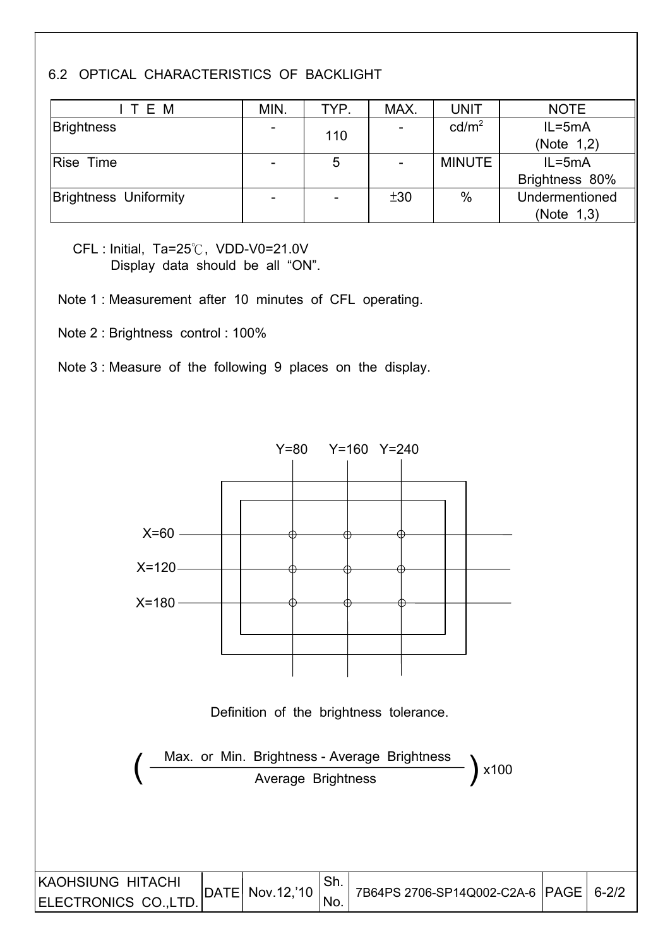#### 6.2 OPTICAL CHARACTERISTICS OF BACKLIGHT

| ITEM                         | MIN.            | TYP.                     | MAX. | <b>UNIT</b>       | <b>NOTE</b>    |
|------------------------------|-----------------|--------------------------|------|-------------------|----------------|
| <b>Brightness</b>            | $\overline{a}$  | 110                      |      | cd/m <sup>2</sup> | $IL = 5mA$     |
|                              |                 |                          |      |                   | (Note 1,2)     |
| Rise Time                    |                 | 5                        |      | <b>MINUTE</b>     | $IL = 5mA$     |
|                              |                 |                          |      |                   | Brightness 80% |
| <b>Brightness Uniformity</b> | $\qquad \qquad$ | $\overline{\phantom{0}}$ | ±30  | $\%$              | Undermentioned |
|                              |                 |                          |      |                   | (Note 1,3)     |

CFL : Initial, Ta=25°C, VDD-V0=21.0V Display data should be all "ON".

Note 1 : Measurement after 10 minutes of CFL operating.

Note 2 : Brightness control : 100%

Note 3 : Measure of the following 9 places on the display.

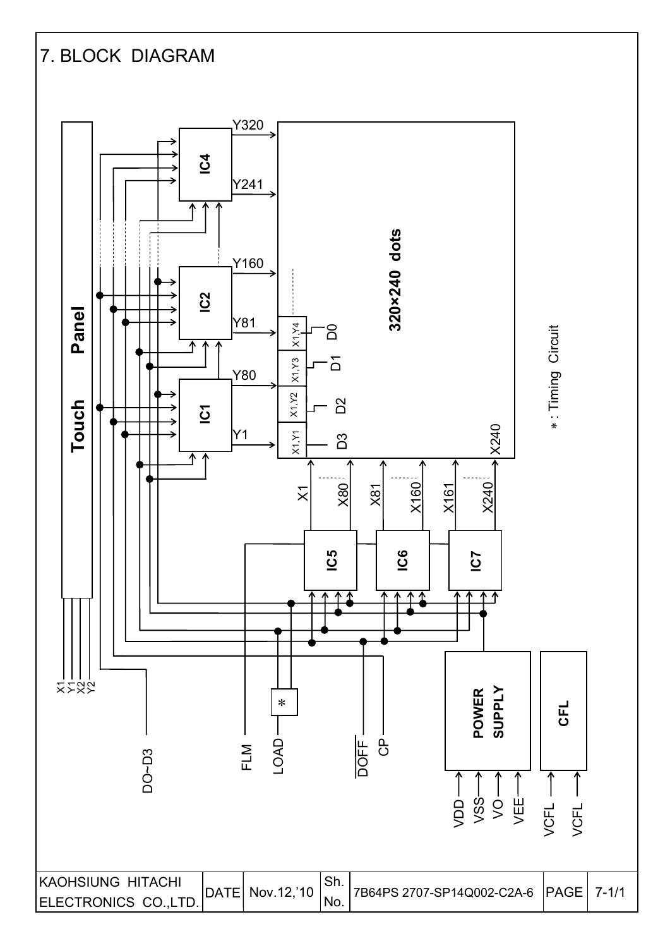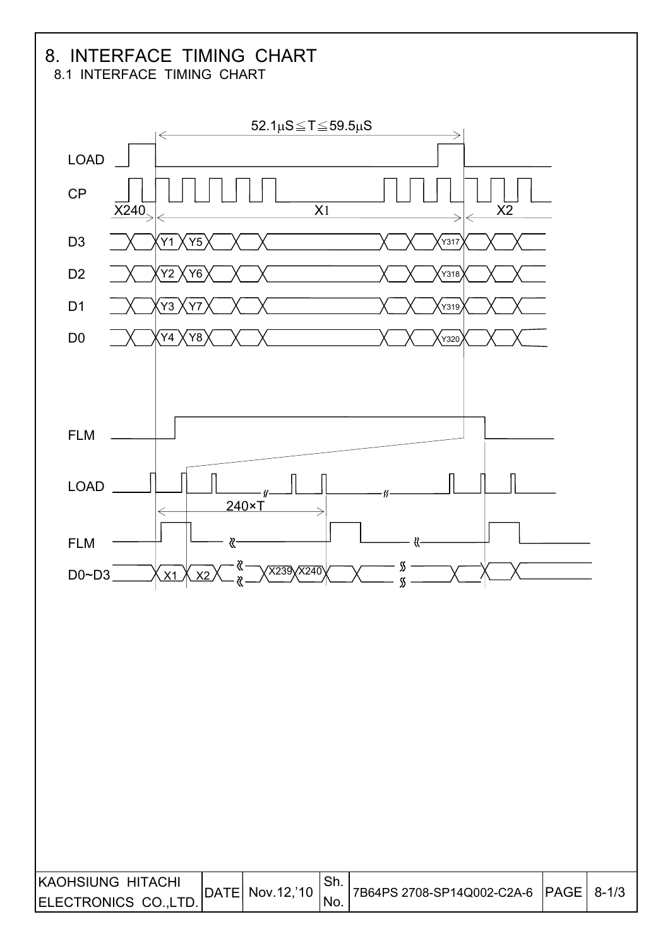# 8. INTERFACE TIMING CHART

8.1 INTERFACE TIMING CHART

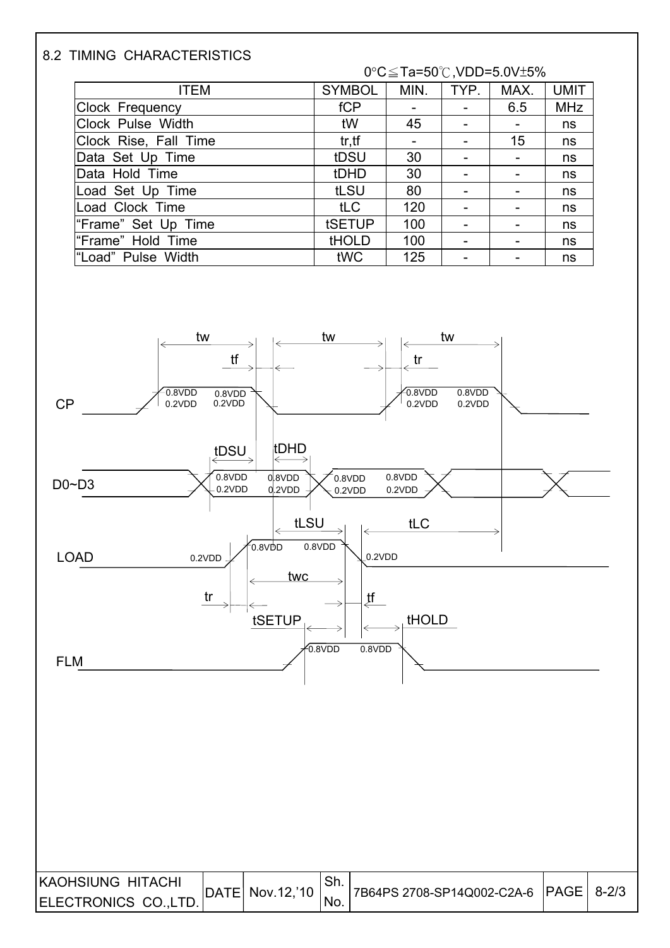#### 8.2 TIMING CHARACTERISTICS

#### 0°C≤Ta=50°C,VDD=5.0V±5%

| <b>ITEM</b>           | <b>SYMBOL</b> | MIN. | TYP.                     | MAX. | <b>UMIT</b> |
|-----------------------|---------------|------|--------------------------|------|-------------|
| Clock Frequency       | fCP           |      |                          | 6.5  | <b>MHz</b>  |
| Clock Pulse Width     | tW            | 45   |                          |      | ns          |
| Clock Rise, Fall Time | tr, tf        |      | -                        | 15   | ns          |
| Data Set Up Time      | tDSU          | 30   |                          |      | ns          |
| Data Hold Time        | tDHD          | 30   |                          |      | ns          |
| Load Set Up Time      | tLSU          | 80   | $\overline{\phantom{0}}$ |      | ns          |
| Load Clock Time       | tLC           | 120  |                          |      | ns          |
| "Frame" Set Up Time   | tSETUP        | 100  |                          |      | ns          |
| "Frame" Hold Time     | <b>tHOLD</b>  | 100  | -                        |      | ns          |
| "Load" Pulse Width    | tWC           | 125  |                          |      | ns          |

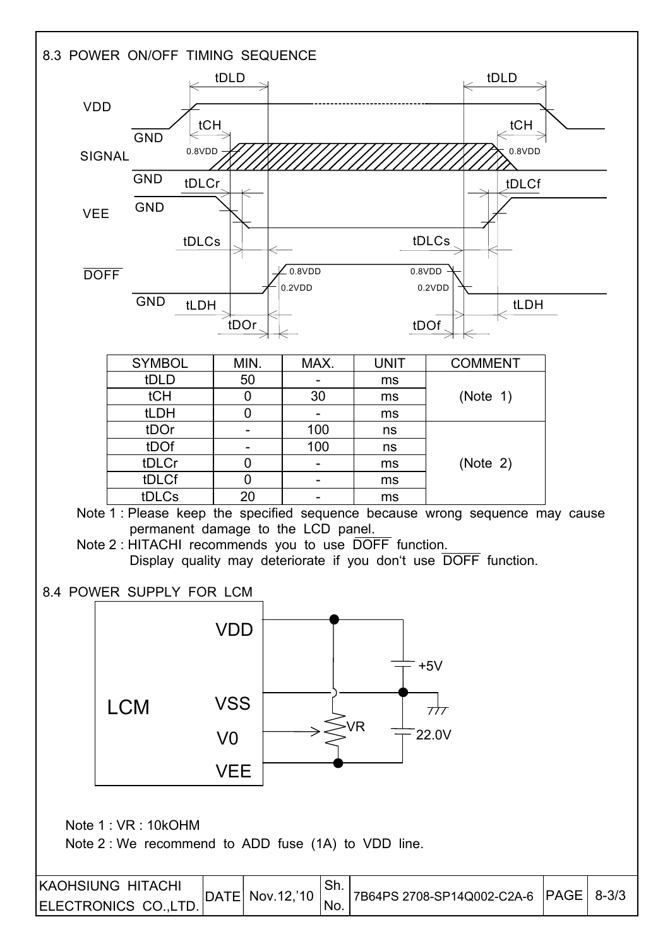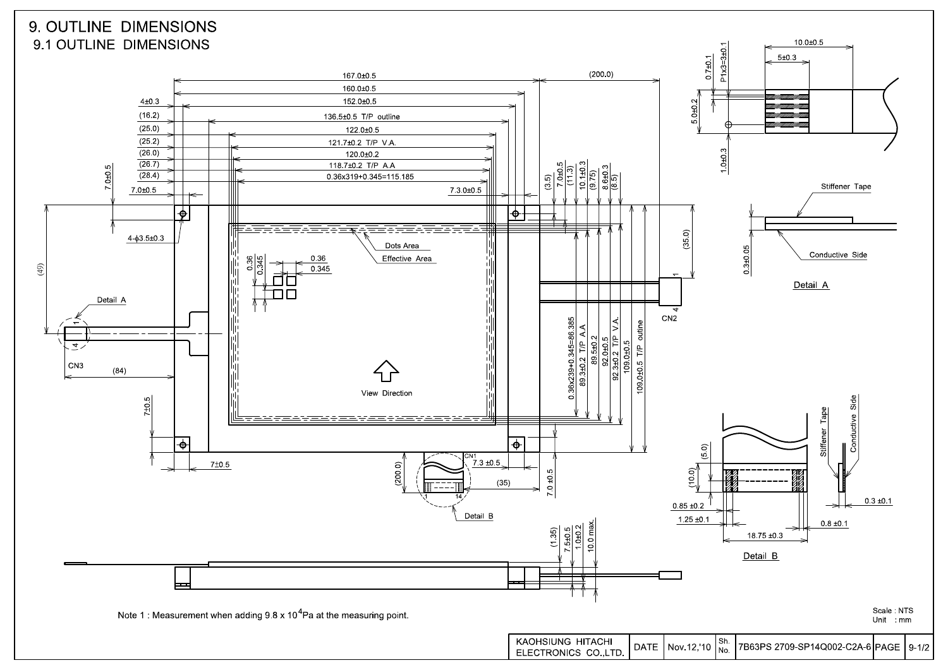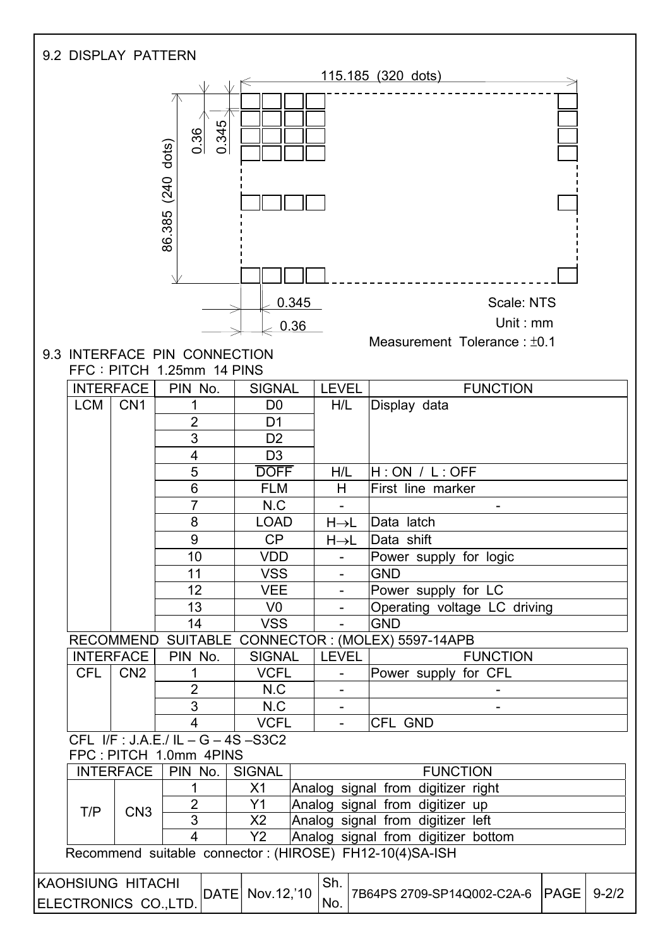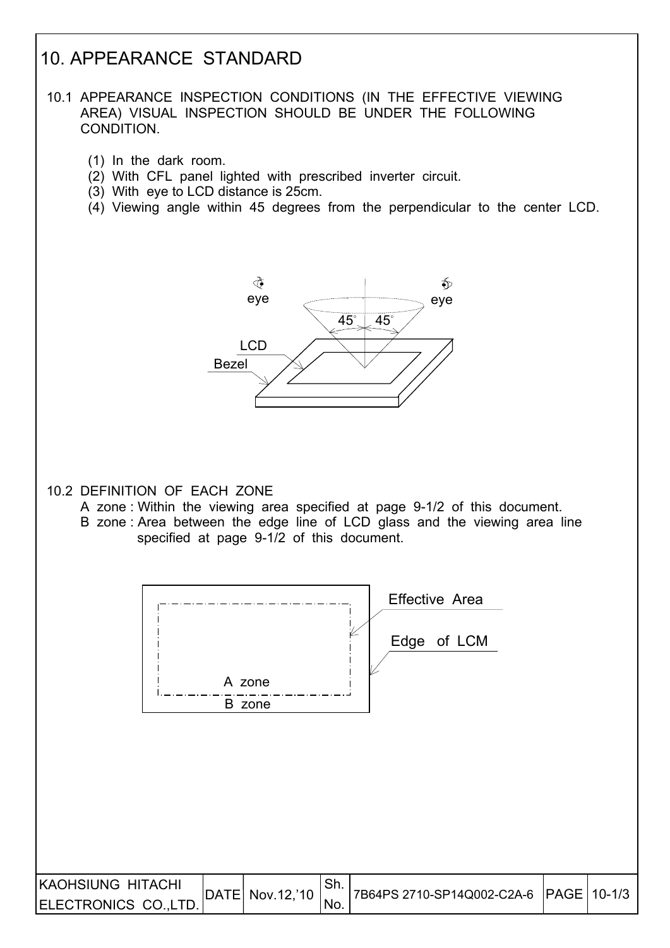## 10. APPEARANCE STANDARD

#### 10.1 APPEARANCE INSPECTION CONDITIONS (IN THE EFFECTIVE VIEWING AREA) VISUAL INSPECTION SHOULD BE UNDER THE FOLLOWING CONDITION.

- (1) In the dark room.
- (2) With CFL panel lighted with prescribed inverter circuit.
- (3) With eye to LCD distance is 25cm.
- (4) Viewing angle within 45 degrees from the perpendicular to the center LCD.



#### 10.2 DEFINITION OF EACH ZONE

- A zone : Within the viewing area specified at page 9-1/2 of this document.
- B zone : Area between the edge line of LCD glass and the viewing area line specified at page 9-1/2 of this document.

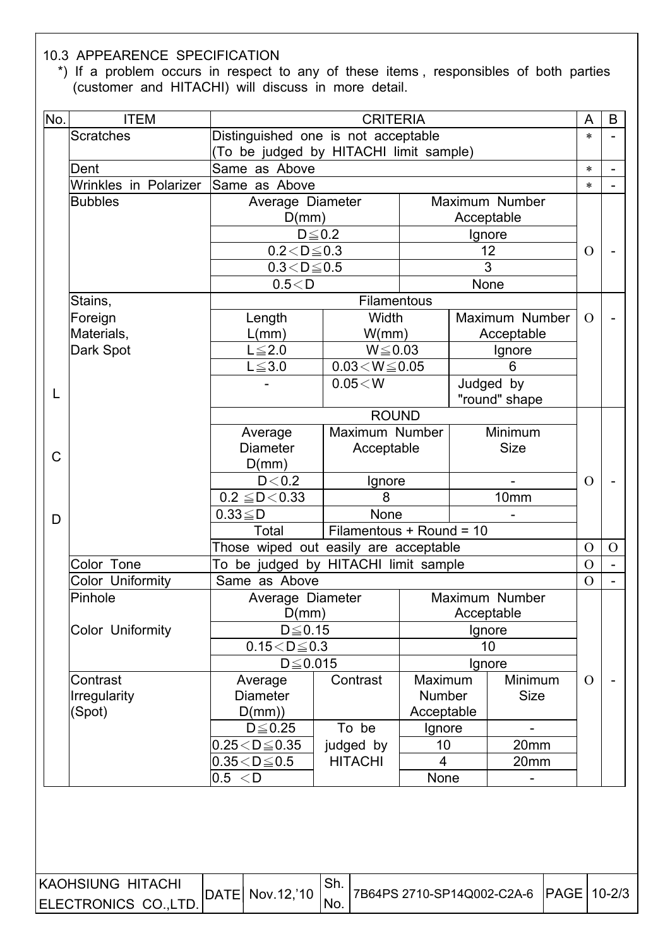#### 10.3 APPEARENCE SPECIFICATION

 $\overline{\phantom{a}}$ 

 \*) If a problem occurs in respect to any of these items , responsibles of both parties (customer and HITACHI) will discuss in more detail.

| <b>Scratches</b><br>Distinguished one is not acceptable<br>$\ast$<br>(To be judged by HITACHI limit sample)<br>Same as Above<br>Dent<br>$\ast$<br>Wrinkles in Polarizer<br>Same as Above<br>$\ast$<br>Maximum Number<br><b>Bubbles</b><br>Average Diameter<br>D(mm)<br>Acceptable<br>$D\!\leq\!0.2$<br>Ignore<br>12<br>$0.2 < D \le 0.3$<br>$\Omega$<br>3<br>$0.3 < D \le 0.5$<br>0.5 < D<br>None<br>Filamentous<br>Stains,<br>Width<br>Maximum Number<br>Foreign<br>Length<br>$\Omega$<br>Materials,<br>L(mm)<br>W/mm)<br>Acceptable<br>$W \le 0.03$<br>Dark Spot<br>$L \leq 2.0$<br>Ignore<br>$0.03\!<\!W\!\leq\!0.05$<br>$L \leq 3.0$<br>6<br>Judged by<br>$0.05\!<\!W$<br>L<br>"round" shape<br><b>ROUND</b><br>Minimum<br>Maximum Number<br>Average<br><b>Diameter</b><br>Acceptable<br><b>Size</b><br>$\mathsf{C}$<br>D(mm)<br>D < 0.2<br>Ignore<br>$\Omega$<br>$0.2 \leq D < 0.33$<br>8<br>10mm<br>None<br>$0.33 \leq D$<br>D<br>Filamentous + Round = 10<br>Total<br>Those wiped out easily are acceptable<br>$\Omega$<br>To be judged by HITACHI limit sample<br>Color Tone<br>$\overline{O}$<br>Color Uniformity<br>Same as Above<br>$\Omega$<br>Pinhole<br>Average Diameter<br>Maximum Number<br>D(mm)<br>Acceptable<br>Color Uniformity<br>$D \le 0.15$<br>Ignore<br>$0.15 < D \le 0.3$<br>10 <sup>°</sup><br>$D \leq 0.015$<br>Ignore<br>Minimum<br>Contrast<br>Contrast<br>Maximum<br>Average<br>$\Omega$<br><b>Diameter</b><br><b>Number</b><br><b>Size</b><br><b>Irregularity</b><br>Acceptable<br>(Spot)<br>D(mm)<br>To be<br>$D \leq 0.25$<br>Ignore<br>$0.25 < D \le 0.35$<br>judged by<br>10<br>20mm | No. | <b>ITEM</b> | <b>CRITERIA</b> |  |  |  |  |  |          |
|--------------------------------------------------------------------------------------------------------------------------------------------------------------------------------------------------------------------------------------------------------------------------------------------------------------------------------------------------------------------------------------------------------------------------------------------------------------------------------------------------------------------------------------------------------------------------------------------------------------------------------------------------------------------------------------------------------------------------------------------------------------------------------------------------------------------------------------------------------------------------------------------------------------------------------------------------------------------------------------------------------------------------------------------------------------------------------------------------------------------------------------------------------------------------------------------------------------------------------------------------------------------------------------------------------------------------------------------------------------------------------------------------------------------------------------------------------------------------------------------------------------------------------------------------------------------------------------------------------------------------|-----|-------------|-----------------|--|--|--|--|--|----------|
|                                                                                                                                                                                                                                                                                                                                                                                                                                                                                                                                                                                                                                                                                                                                                                                                                                                                                                                                                                                                                                                                                                                                                                                                                                                                                                                                                                                                                                                                                                                                                                                                                          |     |             |                 |  |  |  |  |  |          |
|                                                                                                                                                                                                                                                                                                                                                                                                                                                                                                                                                                                                                                                                                                                                                                                                                                                                                                                                                                                                                                                                                                                                                                                                                                                                                                                                                                                                                                                                                                                                                                                                                          |     |             |                 |  |  |  |  |  |          |
|                                                                                                                                                                                                                                                                                                                                                                                                                                                                                                                                                                                                                                                                                                                                                                                                                                                                                                                                                                                                                                                                                                                                                                                                                                                                                                                                                                                                                                                                                                                                                                                                                          |     |             |                 |  |  |  |  |  |          |
|                                                                                                                                                                                                                                                                                                                                                                                                                                                                                                                                                                                                                                                                                                                                                                                                                                                                                                                                                                                                                                                                                                                                                                                                                                                                                                                                                                                                                                                                                                                                                                                                                          |     |             |                 |  |  |  |  |  |          |
|                                                                                                                                                                                                                                                                                                                                                                                                                                                                                                                                                                                                                                                                                                                                                                                                                                                                                                                                                                                                                                                                                                                                                                                                                                                                                                                                                                                                                                                                                                                                                                                                                          |     |             |                 |  |  |  |  |  |          |
|                                                                                                                                                                                                                                                                                                                                                                                                                                                                                                                                                                                                                                                                                                                                                                                                                                                                                                                                                                                                                                                                                                                                                                                                                                                                                                                                                                                                                                                                                                                                                                                                                          |     |             |                 |  |  |  |  |  |          |
|                                                                                                                                                                                                                                                                                                                                                                                                                                                                                                                                                                                                                                                                                                                                                                                                                                                                                                                                                                                                                                                                                                                                                                                                                                                                                                                                                                                                                                                                                                                                                                                                                          |     |             |                 |  |  |  |  |  |          |
|                                                                                                                                                                                                                                                                                                                                                                                                                                                                                                                                                                                                                                                                                                                                                                                                                                                                                                                                                                                                                                                                                                                                                                                                                                                                                                                                                                                                                                                                                                                                                                                                                          |     |             |                 |  |  |  |  |  |          |
|                                                                                                                                                                                                                                                                                                                                                                                                                                                                                                                                                                                                                                                                                                                                                                                                                                                                                                                                                                                                                                                                                                                                                                                                                                                                                                                                                                                                                                                                                                                                                                                                                          |     |             |                 |  |  |  |  |  |          |
|                                                                                                                                                                                                                                                                                                                                                                                                                                                                                                                                                                                                                                                                                                                                                                                                                                                                                                                                                                                                                                                                                                                                                                                                                                                                                                                                                                                                                                                                                                                                                                                                                          |     |             |                 |  |  |  |  |  |          |
|                                                                                                                                                                                                                                                                                                                                                                                                                                                                                                                                                                                                                                                                                                                                                                                                                                                                                                                                                                                                                                                                                                                                                                                                                                                                                                                                                                                                                                                                                                                                                                                                                          |     |             |                 |  |  |  |  |  |          |
|                                                                                                                                                                                                                                                                                                                                                                                                                                                                                                                                                                                                                                                                                                                                                                                                                                                                                                                                                                                                                                                                                                                                                                                                                                                                                                                                                                                                                                                                                                                                                                                                                          |     |             |                 |  |  |  |  |  |          |
|                                                                                                                                                                                                                                                                                                                                                                                                                                                                                                                                                                                                                                                                                                                                                                                                                                                                                                                                                                                                                                                                                                                                                                                                                                                                                                                                                                                                                                                                                                                                                                                                                          |     |             |                 |  |  |  |  |  |          |
|                                                                                                                                                                                                                                                                                                                                                                                                                                                                                                                                                                                                                                                                                                                                                                                                                                                                                                                                                                                                                                                                                                                                                                                                                                                                                                                                                                                                                                                                                                                                                                                                                          |     |             |                 |  |  |  |  |  |          |
|                                                                                                                                                                                                                                                                                                                                                                                                                                                                                                                                                                                                                                                                                                                                                                                                                                                                                                                                                                                                                                                                                                                                                                                                                                                                                                                                                                                                                                                                                                                                                                                                                          |     |             |                 |  |  |  |  |  |          |
|                                                                                                                                                                                                                                                                                                                                                                                                                                                                                                                                                                                                                                                                                                                                                                                                                                                                                                                                                                                                                                                                                                                                                                                                                                                                                                                                                                                                                                                                                                                                                                                                                          |     |             |                 |  |  |  |  |  |          |
|                                                                                                                                                                                                                                                                                                                                                                                                                                                                                                                                                                                                                                                                                                                                                                                                                                                                                                                                                                                                                                                                                                                                                                                                                                                                                                                                                                                                                                                                                                                                                                                                                          |     |             |                 |  |  |  |  |  |          |
|                                                                                                                                                                                                                                                                                                                                                                                                                                                                                                                                                                                                                                                                                                                                                                                                                                                                                                                                                                                                                                                                                                                                                                                                                                                                                                                                                                                                                                                                                                                                                                                                                          |     |             |                 |  |  |  |  |  |          |
|                                                                                                                                                                                                                                                                                                                                                                                                                                                                                                                                                                                                                                                                                                                                                                                                                                                                                                                                                                                                                                                                                                                                                                                                                                                                                                                                                                                                                                                                                                                                                                                                                          |     |             |                 |  |  |  |  |  |          |
|                                                                                                                                                                                                                                                                                                                                                                                                                                                                                                                                                                                                                                                                                                                                                                                                                                                                                                                                                                                                                                                                                                                                                                                                                                                                                                                                                                                                                                                                                                                                                                                                                          |     |             |                 |  |  |  |  |  |          |
|                                                                                                                                                                                                                                                                                                                                                                                                                                                                                                                                                                                                                                                                                                                                                                                                                                                                                                                                                                                                                                                                                                                                                                                                                                                                                                                                                                                                                                                                                                                                                                                                                          |     |             |                 |  |  |  |  |  |          |
|                                                                                                                                                                                                                                                                                                                                                                                                                                                                                                                                                                                                                                                                                                                                                                                                                                                                                                                                                                                                                                                                                                                                                                                                                                                                                                                                                                                                                                                                                                                                                                                                                          |     |             |                 |  |  |  |  |  |          |
|                                                                                                                                                                                                                                                                                                                                                                                                                                                                                                                                                                                                                                                                                                                                                                                                                                                                                                                                                                                                                                                                                                                                                                                                                                                                                                                                                                                                                                                                                                                                                                                                                          |     |             |                 |  |  |  |  |  |          |
|                                                                                                                                                                                                                                                                                                                                                                                                                                                                                                                                                                                                                                                                                                                                                                                                                                                                                                                                                                                                                                                                                                                                                                                                                                                                                                                                                                                                                                                                                                                                                                                                                          |     |             |                 |  |  |  |  |  |          |
|                                                                                                                                                                                                                                                                                                                                                                                                                                                                                                                                                                                                                                                                                                                                                                                                                                                                                                                                                                                                                                                                                                                                                                                                                                                                                                                                                                                                                                                                                                                                                                                                                          |     |             |                 |  |  |  |  |  |          |
|                                                                                                                                                                                                                                                                                                                                                                                                                                                                                                                                                                                                                                                                                                                                                                                                                                                                                                                                                                                                                                                                                                                                                                                                                                                                                                                                                                                                                                                                                                                                                                                                                          |     |             |                 |  |  |  |  |  | $\Omega$ |
|                                                                                                                                                                                                                                                                                                                                                                                                                                                                                                                                                                                                                                                                                                                                                                                                                                                                                                                                                                                                                                                                                                                                                                                                                                                                                                                                                                                                                                                                                                                                                                                                                          |     |             |                 |  |  |  |  |  |          |
|                                                                                                                                                                                                                                                                                                                                                                                                                                                                                                                                                                                                                                                                                                                                                                                                                                                                                                                                                                                                                                                                                                                                                                                                                                                                                                                                                                                                                                                                                                                                                                                                                          |     |             |                 |  |  |  |  |  |          |
|                                                                                                                                                                                                                                                                                                                                                                                                                                                                                                                                                                                                                                                                                                                                                                                                                                                                                                                                                                                                                                                                                                                                                                                                                                                                                                                                                                                                                                                                                                                                                                                                                          |     |             |                 |  |  |  |  |  |          |
|                                                                                                                                                                                                                                                                                                                                                                                                                                                                                                                                                                                                                                                                                                                                                                                                                                                                                                                                                                                                                                                                                                                                                                                                                                                                                                                                                                                                                                                                                                                                                                                                                          |     |             |                 |  |  |  |  |  |          |
|                                                                                                                                                                                                                                                                                                                                                                                                                                                                                                                                                                                                                                                                                                                                                                                                                                                                                                                                                                                                                                                                                                                                                                                                                                                                                                                                                                                                                                                                                                                                                                                                                          |     |             |                 |  |  |  |  |  |          |
|                                                                                                                                                                                                                                                                                                                                                                                                                                                                                                                                                                                                                                                                                                                                                                                                                                                                                                                                                                                                                                                                                                                                                                                                                                                                                                                                                                                                                                                                                                                                                                                                                          |     |             |                 |  |  |  |  |  |          |
|                                                                                                                                                                                                                                                                                                                                                                                                                                                                                                                                                                                                                                                                                                                                                                                                                                                                                                                                                                                                                                                                                                                                                                                                                                                                                                                                                                                                                                                                                                                                                                                                                          |     |             |                 |  |  |  |  |  |          |
|                                                                                                                                                                                                                                                                                                                                                                                                                                                                                                                                                                                                                                                                                                                                                                                                                                                                                                                                                                                                                                                                                                                                                                                                                                                                                                                                                                                                                                                                                                                                                                                                                          |     |             |                 |  |  |  |  |  |          |
|                                                                                                                                                                                                                                                                                                                                                                                                                                                                                                                                                                                                                                                                                                                                                                                                                                                                                                                                                                                                                                                                                                                                                                                                                                                                                                                                                                                                                                                                                                                                                                                                                          |     |             |                 |  |  |  |  |  |          |
|                                                                                                                                                                                                                                                                                                                                                                                                                                                                                                                                                                                                                                                                                                                                                                                                                                                                                                                                                                                                                                                                                                                                                                                                                                                                                                                                                                                                                                                                                                                                                                                                                          |     |             |                 |  |  |  |  |  |          |
|                                                                                                                                                                                                                                                                                                                                                                                                                                                                                                                                                                                                                                                                                                                                                                                                                                                                                                                                                                                                                                                                                                                                                                                                                                                                                                                                                                                                                                                                                                                                                                                                                          |     |             |                 |  |  |  |  |  |          |
|                                                                                                                                                                                                                                                                                                                                                                                                                                                                                                                                                                                                                                                                                                                                                                                                                                                                                                                                                                                                                                                                                                                                                                                                                                                                                                                                                                                                                                                                                                                                                                                                                          |     |             |                 |  |  |  |  |  |          |
| $\overline{4}$<br>$0.35\!<\!D\!\leq\!0.5$<br><b>HITACHI</b><br>20mm                                                                                                                                                                                                                                                                                                                                                                                                                                                                                                                                                                                                                                                                                                                                                                                                                                                                                                                                                                                                                                                                                                                                                                                                                                                                                                                                                                                                                                                                                                                                                      |     |             |                 |  |  |  |  |  |          |
| 0.5 < D<br>None                                                                                                                                                                                                                                                                                                                                                                                                                                                                                                                                                                                                                                                                                                                                                                                                                                                                                                                                                                                                                                                                                                                                                                                                                                                                                                                                                                                                                                                                                                                                                                                                          |     |             |                 |  |  |  |  |  |          |

| <b>KAOHSIUNG HITACHI</b> |                  | <sup>⊥</sup> Sh. | 7B64PS 2710-SP14Q002-C2A-6   PAGE   10-2/3 |  |
|--------------------------|------------------|------------------|--------------------------------------------|--|
| ELECTRONICS CO.,LTD.     | DATE  Nov.12,'10 | 'No.             |                                            |  |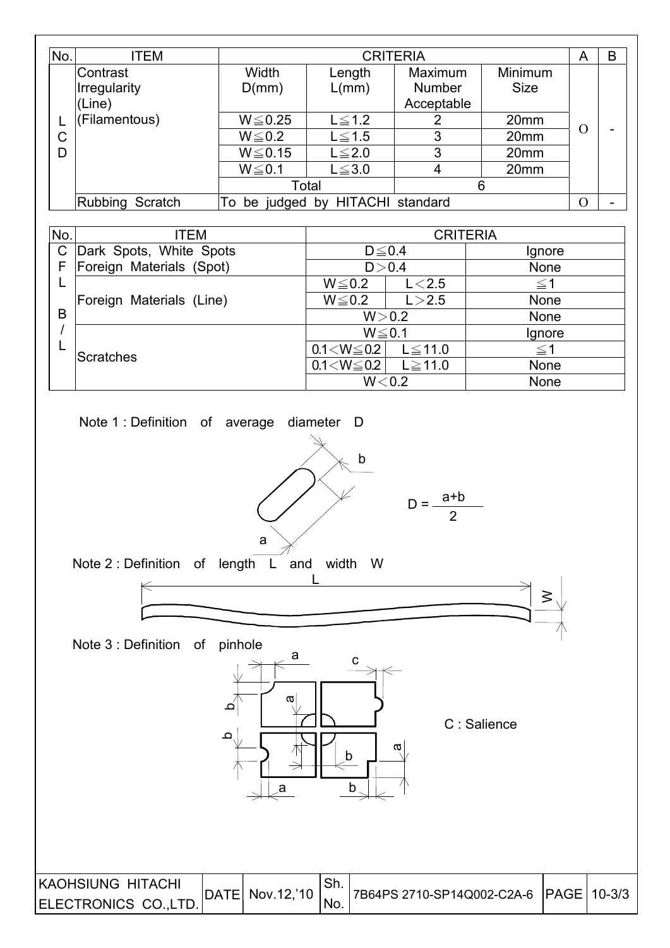| No. | ITEM                     |                        |                               | <b>CRITERIA</b> |                  | A        | B |
|-----|--------------------------|------------------------|-------------------------------|-----------------|------------------|----------|---|
|     | lContrast                | Width                  | Length                        | Maximum         | Minimum          |          |   |
|     | Irregularity             | D(mm)                  | L/mm)                         | <b>Number</b>   | <b>Size</b>      |          |   |
|     | (Line)                   |                        |                               | Acceptable      |                  |          |   |
|     | (Filamentous)            | $W \le 0.25$           | $L \leq 1.2$                  | 2               | 20mm             |          |   |
| C   |                          | $W \le 0.2$            | $L \leq 1.5$                  | 3               | 20mm             | $\Omega$ | ۰ |
| D   |                          | $W \le 0.15$           | $L \leq 2.0$                  | 3               | 20mm             |          |   |
|     |                          | $W \le 0.1$            | $L \leq 3.0$                  | 4               | 20 <sub>mm</sub> |          |   |
|     |                          |                        | Total                         |                 | 6                |          |   |
|     | Rubbing Scratch          | To                     | be judged by HITACHI standard | $\Omega$        | -                |          |   |
|     |                          |                        |                               |                 |                  |          |   |
| No. | <b>ITEM</b>              |                        | <b>CRITERIA</b>               |                 |                  |          |   |
| C   | Dark Spots, White Spots  | $D \leq 0.4$<br>Ignore |                               |                 |                  |          |   |
| F   | Foreign Materials (Spot) |                        | D > 0.4                       | None            |                  |          |   |

Foreign Materials (Line) WЉ0.2 LЇ2.5 None

L

B / L

**Scratches** 

 $W \leq 0.2$   $L < 2.5$   $\leq 1$ 

 $0.1 < W \leq 0.2$  L $\leq 11.0$   $\leq 1$  $0.1 < W \le 0.2$  L  $\ge 11.0$  None

 $W > 0.2$  None  $W \leq 0.1$  Ignore

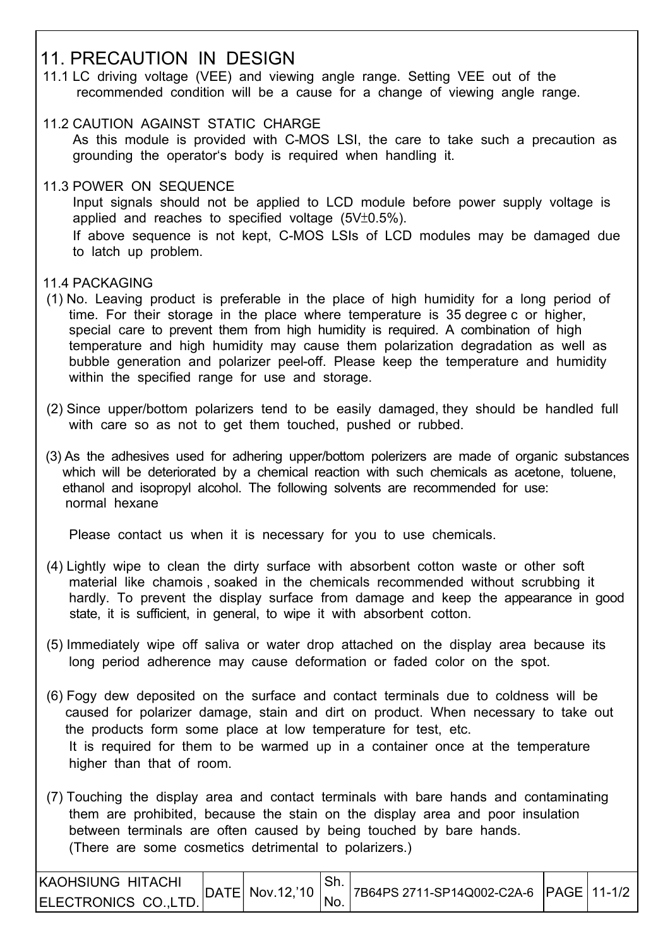## 11. PRECAUTION IN DESIGN

- 11.1 LC driving voltage (VEE) and viewing angle range. Setting VEE out of the recommended condition will be a cause for a change of viewing angle range.
- 11.2 CAUTION AGAINST STATIC CHARGE

 As this module is provided with C-MOS LSI, the care to take such a precaution as grounding the operator's body is required when handling it.

11.3 POWER ON SEQUENCE

 Input signals should not be applied to LCD module before power supply voltage is applied and reaches to specified voltage  $(5V±0.5\%)$ .

 If above sequence is not kept, C-MOS LSIs of LCD modules may be damaged due to latch up problem.

#### 11.4 PACKAGING

I

- (1) No. Leaving product is preferable in the place of high humidity for a long period of time. For their storage in the place where temperature is 35 degree c or higher, special care to prevent them from high humidity is required. A combination of high temperature and high humidity may cause them polarization degradation as well as bubble generation and polarizer peel-off. Please keep the temperature and humidity within the specified range for use and storage.
- (2) Since upper/bottom polarizers tend to be easily damaged, they should be handled full with care so as not to get them touched, pushed or rubbed.
- (3) As the adhesives used for adhering upper/bottom polerizers are made of organic substances which will be deteriorated by a chemical reaction with such chemicals as acetone, toluene, ethanol and isopropyl alcohol. The following solvents are recommended for use: normal hexane

Please contact us when it is necessary for you to use chemicals.

- (4) Lightly wipe to clean the dirty surface with absorbent cotton waste or other soft material like chamois , soaked in the chemicals recommended without scrubbing it hardly. To prevent the display surface from damage and keep the appearance in good state, it is sufficient, in general, to wipe it with absorbent cotton.
- (5) Immediately wipe off saliva or water drop attached on the display area because its long period adherence may cause deformation or faded color on the spot.
- (6) Fogy dew deposited on the surface and contact terminals due to coldness will be caused for polarizer damage, stain and dirt on product. When necessary to take out the products form some place at low temperature for test, etc. It is required for them to be warmed up in a container once at the temperature higher than that of room.
- (7) Touching the display area and contact terminals with bare hands and contaminating them are prohibited, because the stain on the display area and poor insulation between terminals are often caused by being touched by bare hands. (There are some cosmetics detrimental to polarizers.)

| IKAOHSIUNG HITACHI                 |                               |                                        |  |
|------------------------------------|-------------------------------|----------------------------------------|--|
| ELECTRONICS CO.,LTD.  <sup> </sup> | $ $ DATE $ $ Nov.12, 10 $ $ . | 7B64PS 2711-SP14Q002-C2A-6 PAGE 11-1/2 |  |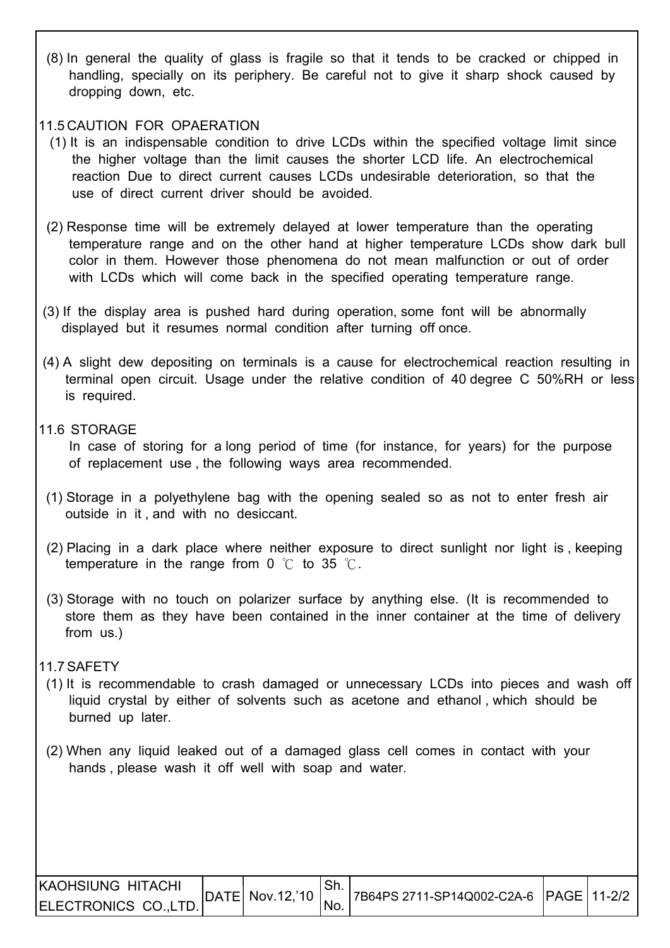(8) In general the quality of glass is fragile so that it tends to be cracked or chipped in handling, specially on its periphery. Be careful not to give it sharp shock caused by dropping down, etc.

#### 11.5 CAUTION FOR OPAERATION

- (1) It is an indispensable condition to drive LCDs within the specified voltage limit since the higher voltage than the limit causes the shorter LCD life. An electrochemical reaction Due to direct current causes LCDs undesirable deterioration, so that the use of direct current driver should be avoided.
- (2) Response time will be extremely delayed at lower temperature than the operating temperature range and on the other hand at higher temperature LCDs show dark bull color in them. However those phenomena do not mean malfunction or out of order with LCDs which will come back in the specified operating temperature range.
- (3) If the display area is pushed hard during operation, some font will be abnormally displayed but it resumes normal condition after turning off once.
- (4) A slight dew depositing on terminals is a cause for electrochemical reaction resulting in terminal open circuit. Usage under the relative condition of 40 degree C 50%RH or less is required.

#### 11.6 STORAGE

 In case of storing for a long period of time (for instance, for years) for the purpose of replacement use , the following ways area recommended.

- (1) Storage in a polyethylene bag with the opening sealed so as not to enter fresh air outside in it , and with no desiccant.
- (2) Placing in a dark place where neither exposure to direct sunlight nor light is , keeping temperature in the range from 0  $\degree$ C to 35  $\degree$ C.
- (3) Storage with no touch on polarizer surface by anything else. (It is recommended to store them as they have been contained in the inner container at the time of delivery from us.)

#### 11.7 SAFETY

I

- (1) It is recommendable to crash damaged or unnecessary LCDs into pieces and wash off liquid crystal by either of solvents such as acetone and ethanol , which should be burned up later.
- (2) When any liquid leaked out of a damaged glass cell comes in contact with your hands , please wash it off well with soap and water.

| <b>KAOHSIUNG HITACHI</b> |                           |      |                                        |  |
|--------------------------|---------------------------|------|----------------------------------------|--|
| ELECTRONICS CO.,LTD.     | $ DATE $ Nov.12, 10 $ $ , | 'No. | 7B64PS 2711-SP14Q002-C2A-6 PAGE 11-2/2 |  |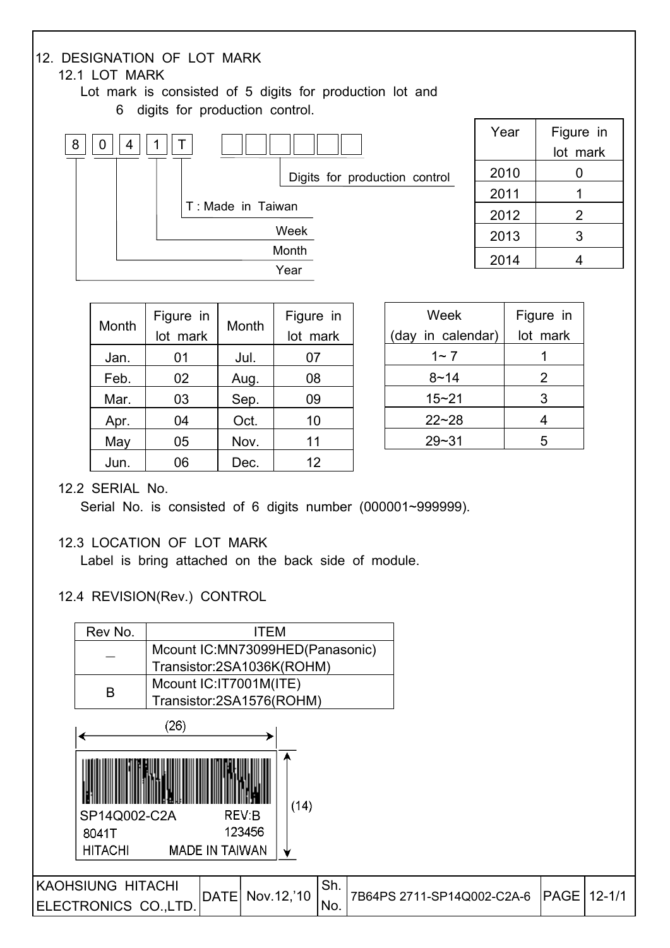

| Month | Figure in<br>lot mark | Month | Figure in<br>lot mark |
|-------|-----------------------|-------|-----------------------|
| Jan.  | 01                    | Jul.  | 07                    |
| Feb.  | 02                    | Aug.  | 08                    |
| Mar.  | 03                    | Sep.  | 09                    |
| Apr.  | 04                    | Oct.  | 10                    |
| May   | 05                    | Nov.  | 11                    |
| Jun.  | 06                    | Dec.  | 12                    |

| Week              | Figure in |
|-------------------|-----------|
| (day in calendar) | lot mark  |
| 1~ 7              |           |
| $8 - 14$          | 2         |
| $15 - 21$         | 3         |
| $22 - 28$         | 4         |
| 29~31             | 5         |

#### 12.2 SERIAL No.

Serial No. is consisted of 6 digits number (000001~999999).

#### 12.3 LOCATION OF LOT MARK

Label is bring attached on the back side of module.

#### 12.4 REVISION(Rev.) CONTROL

| Rev No.                  |                        | <b>ITEM</b>                     |     |                            |               |  |
|--------------------------|------------------------|---------------------------------|-----|----------------------------|---------------|--|
|                          |                        | Mcount IC:MN73099HED(Panasonic) |     |                            |               |  |
|                          |                        | Transistor:2SA1036K(ROHM)       |     |                            |               |  |
| B                        | Mcount IC:IT7001M(ITE) |                                 |     |                            |               |  |
|                          |                        | Transistor:2SA1576(ROHM)        |     |                            |               |  |
|                          | (26)                   |                                 |     |                            |               |  |
|                          |                        | (14)                            |     |                            |               |  |
| SP14Q002-C2A             |                        | REV:B                           |     |                            |               |  |
| 8041T                    |                        | 123456                          |     |                            |               |  |
| <b>HITACHI</b>           | <b>MADE IN TAIWAN</b>  |                                 |     |                            |               |  |
|                          |                        |                                 |     |                            |               |  |
| <b>KAOHSIUNG HITACHI</b> | <b>DATE</b>            | Nov.12,'10                      | Sh. | 7B64PS 2711-SP14Q002-C2A-6 | PAGE   12-1/1 |  |
| ELECTRONICS CO., LTD.    |                        |                                 | No. |                            |               |  |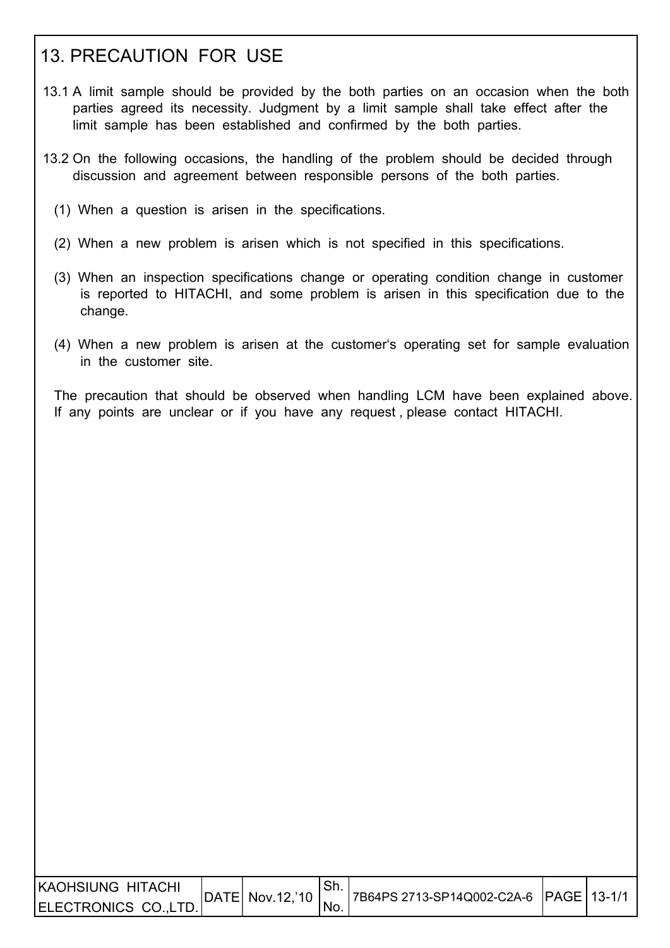## 13. PRECAUTION FOR USE

- 13.1 A limit sample should be provided by the both parties on an occasion when the both parties agreed its necessity. Judgment by a limit sample shall take effect after the limit sample has been established and confirmed by the both parties.
- 13.2 On the following occasions, the handling of the problem should be decided through discussion and agreement between responsible persons of the both parties.
	- (1) When a question is arisen in the specifications.
	- (2) When a new problem is arisen which is not specified in this specifications.
	- (3) When an inspection specifications change or operating condition change in customer is reported to HITACHI, and some problem is arisen in this specification due to the change.
	- (4) When a new problem is arisen at the customer's operating set for sample evaluation in the customer site.

 The precaution that should be observed when handling LCM have been explained above. If any points are unclear or if you have any request , please contact HITACHI.

| IKAOHSIUNG HITACHI                 |                               |     |                                        |  |
|------------------------------------|-------------------------------|-----|----------------------------------------|--|
| ELECTRONICS CO.,LTD.  <sup>'</sup> | $ $ DATE $ $ Nov.12,'10 $ $ , | No. | 7B64PS 2713-SP14Q002-C2A-6 PAGE 13-1/1 |  |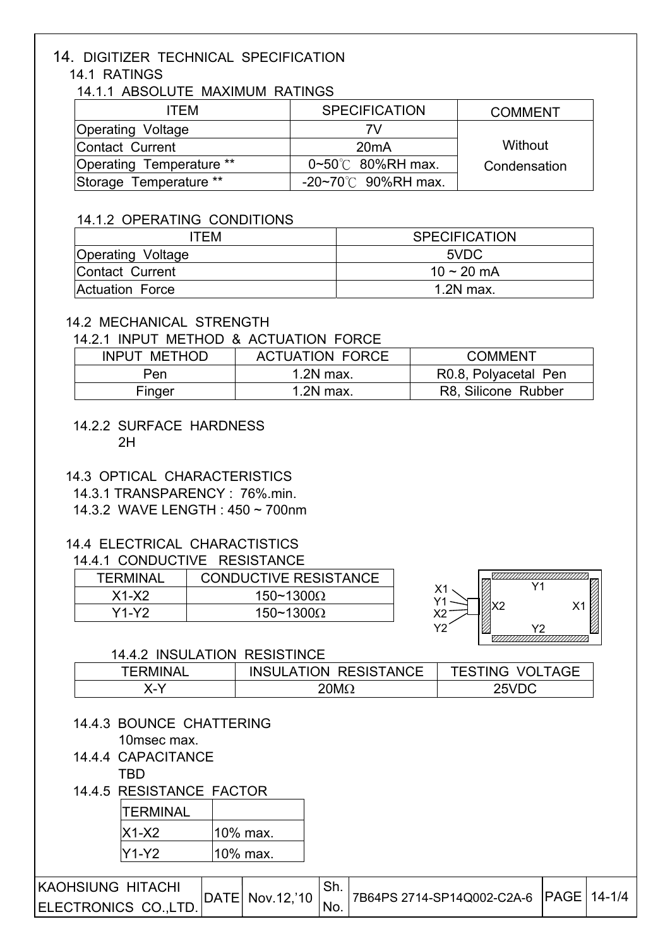## 14. DIGITIZER TECHNICAL SPECIFICATION

#### 14.1 RATINGS

14.1.1 ABSOLUTE MAXIMUM RATINGS

| <b>ITFM</b>              | <b>SPECIFICATION</b>             | <b>COMMENT</b> |
|--------------------------|----------------------------------|----------------|
| <b>Operating Voltage</b> | 7V                               |                |
| Contact Current          | 20mA                             | Without        |
| Operating Temperature ** | $0 \sim 50^{\circ}$ 80%RH max.   | Condensation   |
| Storage Temperature **   | $-20 \sim 70^{\circ}$ 90%RH max. |                |

#### 14.1.2 OPERATING CONDITIONS

| ITEM                     | <b>SPECIFICATION</b> |
|--------------------------|----------------------|
| <b>Operating Voltage</b> | 5VDC                 |
| Contact Current          | 10 ~ 20 mA           |
| Actuation Force          | $1.2N$ max.          |

#### 14.2 MECHANICAL STRENGTH

#### 14.2.1 INPUT METHOD & ACTUATION FORCE

| <b>INPUT METHOD</b> | <b>ACTUATION FORCE</b> | <b>COMMENT</b>       |
|---------------------|------------------------|----------------------|
| Pen                 | $1.2N$ max.            | R0.8, Polyacetal Pen |
| Finger              | $1.2N$ max.            | R8, Silicone Rubber  |

#### 14.2.2 SURFACE HARDNESS 2H

#### 14.3 OPTICAL CHARACTERISTICS

14.3.1 TRANSPARENCY : 76%.min.

#### 14.3.2 WAVE LENGTH : 450 ~ 700nm

#### 14.4 ELECTRICAL CHARACTISTICS

#### 14.4.1 CONDUCTIVE RESISTANCE

| TFRMINAL | <b>CONDUCTIVE RESISTANCE</b> |
|----------|------------------------------|
| $X1-X2$  | 150~1300 $\Omega$            |
| Y1-Y2.   | 150~1300 $\Omega$            |



#### 14.4.2 INSULATION RESISTINCE

| <b>TERMINAL</b>        | <b>INSULATION RESISTANCE</b> | <b>TESTING VOLTAGE</b> |
|------------------------|------------------------------|------------------------|
| $\boldsymbol{\lambda}$ | 20M $\Omega$                 | 25VDC                  |

 14.4.3 BOUNCE CHATTERING 10msec max.

#### 14.4.4 CAPACITANCE TBD

#### 14.4.5 RESISTANCE FACTOR

| <b>TERMINAL</b> |          |
|-----------------|----------|
| IX1-X2          | 10% max. |
| Y1-Y2           | 10% max. |

| <b>IKAOHSIUNG HITACHI</b> |                             | ⊹O⊞. | 7B64PS 2714-SP14Q002-C2A-6 PAGE 14-1/4 |  |
|---------------------------|-----------------------------|------|----------------------------------------|--|
| ELECTRONICS CO.,LTD.      | $ DATE $ Nov.12, 10 $ $ No. |      |                                        |  |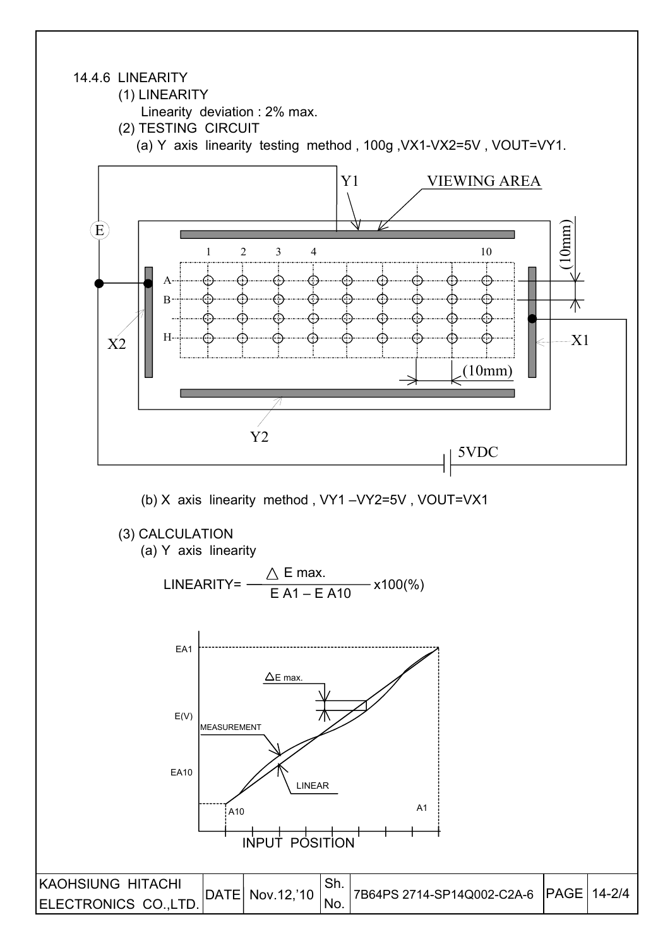#### 14.4.6 LINEARITY

I

(1) LINEARITY

Linearity deviation : 2% max.

- (2) TESTING CIRCUIT
	- (a) Y axis linearity testing method , 100g ,VX1-VX2=5V , VOUT=VY1.

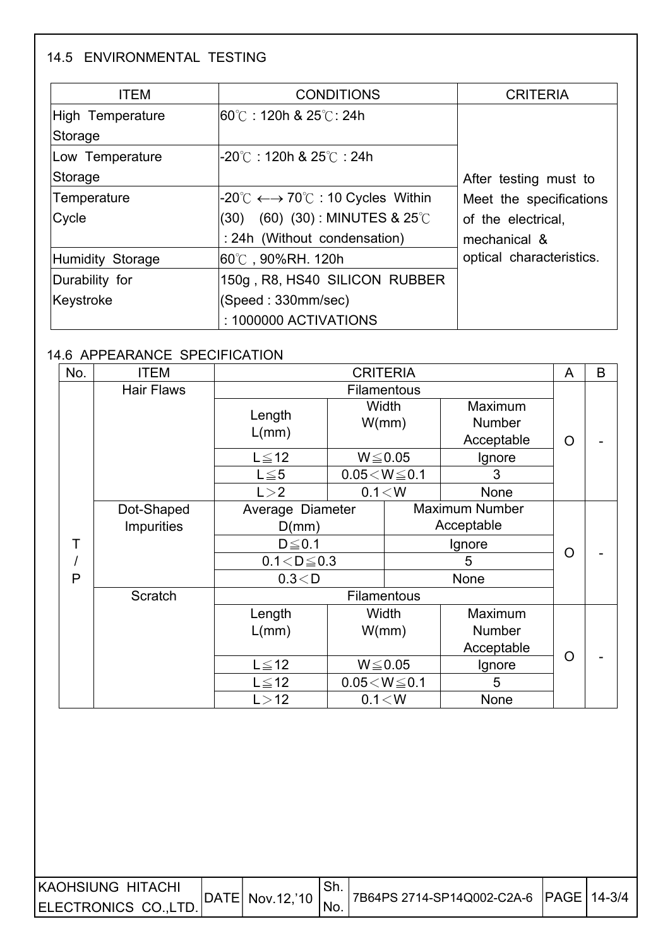### 14.5 ENVIRONMENTAL TESTING

ſ

| <b>ITEM</b>      | <b>CONDITIONS</b>                                                                                       | <b>CRITERIA</b>          |
|------------------|---------------------------------------------------------------------------------------------------------|--------------------------|
| High Temperature | l60℃ : 120h & 25℃: 24h                                                                                  |                          |
| Storage          |                                                                                                         |                          |
| Low Temperature  | $-20^{\circ}$ C : 120h & 25 $^{\circ}$ C : 24h                                                          |                          |
| Storage          |                                                                                                         | After testing must to    |
| Temperature      | $\mathsf{I}\text{-}20^\circ\mathbb{C}\longleftrightarrow\mathsf{70}^\circ\mathbb{C}$ : 10 Cycles Within | Meet the specifications  |
| Cycle            | $(60)$ $(30)$ : MINUTES & 25°C<br>(30)                                                                  | of the electrical,       |
|                  | : 24h (Without condensation)                                                                            | mechanical &             |
| Humidity Storage | l60℃,90%RH. 120h                                                                                        | optical characteristics. |
| Durability for   | 150g, R8, HS40 SILICON RUBBER                                                                           |                          |
| Keystroke        | (Speed: 330mm/sec)                                                                                      |                          |
|                  | : 1000000 ACTIVATIONS                                                                                   |                          |

#### 14.6 APPEARANCE SPECIFICATION

| No. | <b>ITEM</b>       | <b>CRITERIA</b>                           |                         |                    |                   |   | B |
|-----|-------------------|-------------------------------------------|-------------------------|--------------------|-------------------|---|---|
|     | <b>Hair Flaws</b> |                                           |                         | <b>Filamentous</b> |                   |   |   |
|     |                   | Length                                    |                         | Width<br>W/mm)     | Maximum<br>Number |   |   |
|     |                   | L/mm)                                     |                         |                    | Acceptable        | O |   |
|     |                   | $L \leq 12$                               |                         | $W \le 0.05$       | Ignore            |   |   |
|     |                   | $L \leq 5$                                | $0.05\!<\!W\!\leq\!0.1$ |                    | 3                 |   |   |
|     |                   | L > 2                                     |                         | 0.1 < W            | None              |   |   |
|     | Dot-Shaped        | <b>Maximum Number</b><br>Average Diameter |                         |                    |                   |   |   |
|     | <b>Impurities</b> | D(mm)                                     |                         |                    | Acceptable        |   |   |
| Т   |                   | $D \leq 0.1$                              |                         |                    | O                 |   |   |
|     |                   | $0.1 < D \le 0.3$                         |                         |                    |                   |   |   |
| P   |                   | 0.3 < D                                   |                         |                    |                   |   |   |
|     | Scratch           |                                           |                         | <b>Filamentous</b> |                   |   |   |
|     |                   | Length                                    |                         | Width              | Maximum           |   |   |
|     |                   | L/mm)                                     |                         | W/mm)              | Number            |   |   |
|     |                   |                                           |                         |                    | Acceptable        | O |   |
|     |                   | $L \leq 12$                               | $W \le 0.05$            |                    | Ignore            |   |   |
|     |                   | $L \leq 12$                               | $0.05\!<\!W\!\leq\!0.1$ |                    | 5                 |   |   |
|     |                   | L > 12                                    |                         | 0.1 < W            | None              |   |   |

| IKAOHSIUNG HITACHI   |                                           |                                        |  |
|----------------------|-------------------------------------------|----------------------------------------|--|
| ELECTRONICS CO.,LTD. | $ DATE $ Nov.12, 10 $\bigg _{\text{No.}}$ | 7B64PS 2714-SP14Q002-C2A-6 PAGE 14-3/4 |  |